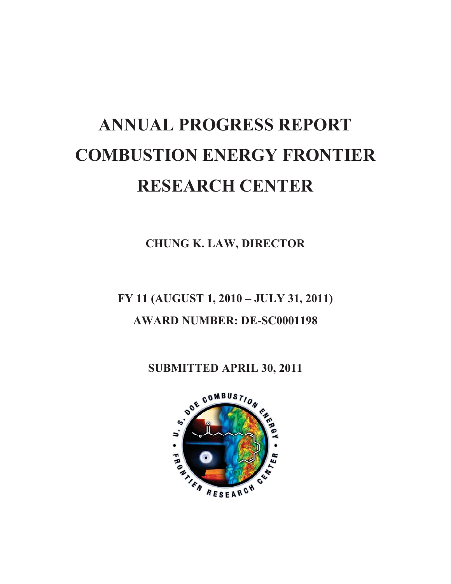# **ANNUAL PROGRESS REPORT COMBUSTION ENERGY FRONTIER RESEARCH CENTER**

**CHUNG K. LAW, DIRECTOR**

**FY 11 (AUGUST 1, 2010 – JULY 31, 2011) AWARD NUMBER: DE-SC0001198** 

**SUBMITTED APRIL 30, 2011** 

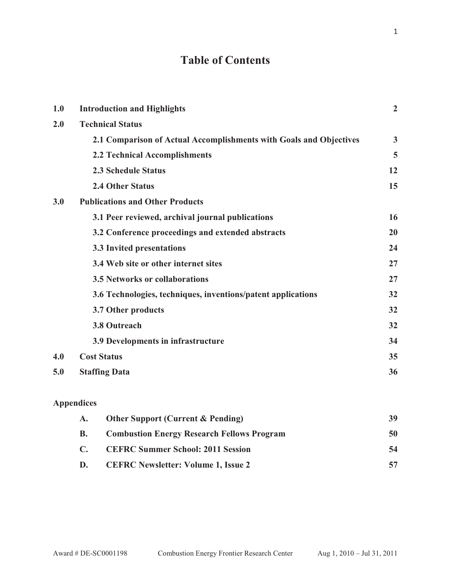# **Table of Contents**

| 1.0 | <b>Introduction and Highlights</b>                                 | $\overline{2}$ |
|-----|--------------------------------------------------------------------|----------------|
| 2.0 | <b>Technical Status</b>                                            |                |
|     | 2.1 Comparison of Actual Accomplishments with Goals and Objectives | $\overline{3}$ |
|     | 2.2 Technical Accomplishments                                      | 5              |
|     | <b>2.3 Schedule Status</b>                                         | 12             |
|     | <b>2.4 Other Status</b>                                            | 15             |
| 3.0 | <b>Publications and Other Products</b>                             |                |
|     | 3.1 Peer reviewed, archival journal publications                   | 16             |
|     | 3.2 Conference proceedings and extended abstracts                  | 20             |
|     | 3.3 Invited presentations                                          | 24             |
|     | 3.4 Web site or other internet sites                               | 27             |
|     | <b>3.5 Networks or collaborations</b>                              | 27             |
|     | 3.6 Technologies, techniques, inventions/patent applications       | 32             |
|     | 3.7 Other products                                                 | 32             |
|     | <b>3.8 Outreach</b>                                                | 32             |
|     | 3.9 Developments in infrastructure                                 | 34             |
| 4.0 | <b>Cost Status</b>                                                 | 35             |
| 5.0 | <b>Staffing Data</b>                                               | 36             |
|     | <b>Appendices</b>                                                  |                |
|     | <b>Other Support (Current &amp; Pending)</b><br>$\mathbf{A}$ .     | 39             |
|     | <b>Combustion Energy Research Fellows Program</b><br><b>B.</b>     | 50             |
|     | <b>CEFRC Summer School: 2011 Session</b><br>$\mathbf{C}$ .         | 54             |
|     | D.<br><b>CEFRC Newsletter: Volume 1, Issue 2</b>                   | 57             |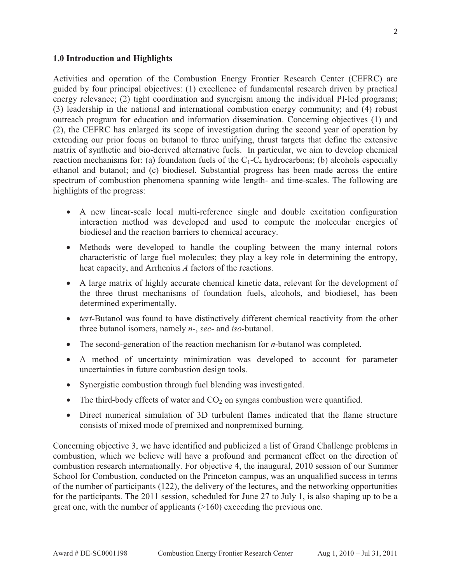#### **1.0 Introduction and Highlights**

Activities and operation of the Combustion Energy Frontier Research Center (CEFRC) are guided by four principal objectives: (1) excellence of fundamental research driven by practical energy relevance; (2) tight coordination and synergism among the individual PI-led programs; (3) leadership in the national and international combustion energy community; and (4) robust outreach program for education and information dissemination. Concerning objectives (1) and (2), the CEFRC has enlarged its scope of investigation during the second year of operation by extending our prior focus on butanol to three unifying, thrust targets that define the extensive matrix of synthetic and bio-derived alternative fuels. In particular, we aim to develop chemical reaction mechanisms for: (a) foundation fuels of the  $C_1$ - $C_4$  hydrocarbons; (b) alcohols especially ethanol and butanol; and (c) biodiesel. Substantial progress has been made across the entire spectrum of combustion phenomena spanning wide length- and time-scales. The following are highlights of the progress:

- A new linear-scale local multi-reference single and double excitation configuration interaction method was developed and used to compute the molecular energies of biodiesel and the reaction barriers to chemical accuracy.
- Methods were developed to handle the coupling between the many internal rotors characteristic of large fuel molecules; they play a key role in determining the entropy, heat capacity, and Arrhenius *A* factors of the reactions.
- A large matrix of highly accurate chemical kinetic data, relevant for the development of the three thrust mechanisms of foundation fuels, alcohols, and biodiesel, has been determined experimentally.
- *tert*-Butanol was found to have distinctively different chemical reactivity from the other three butanol isomers, namely *n*-, *sec*- and *iso*-butanol.
- The second-generation of the reaction mechanism for *n*-butanol was completed.
- A method of uncertainty minimization was developed to account for parameter uncertainties in future combustion design tools.
- Synergistic combustion through fuel blending was investigated.
- $\bullet$  The third-body effects of water and CO<sub>2</sub> on syngas combustion were quantified.
- Direct numerical simulation of 3D turbulent flames indicated that the flame structure consists of mixed mode of premixed and nonpremixed burning.

Concerning objective 3, we have identified and publicized a list of Grand Challenge problems in combustion, which we believe will have a profound and permanent effect on the direction of combustion research internationally. For objective 4, the inaugural, 2010 session of our Summer School for Combustion, conducted on the Princeton campus, was an unqualified success in terms of the number of participants (122), the delivery of the lectures, and the networking opportunities for the participants. The 2011 session, scheduled for June 27 to July 1, is also shaping up to be a great one, with the number of applicants (>160) exceeding the previous one.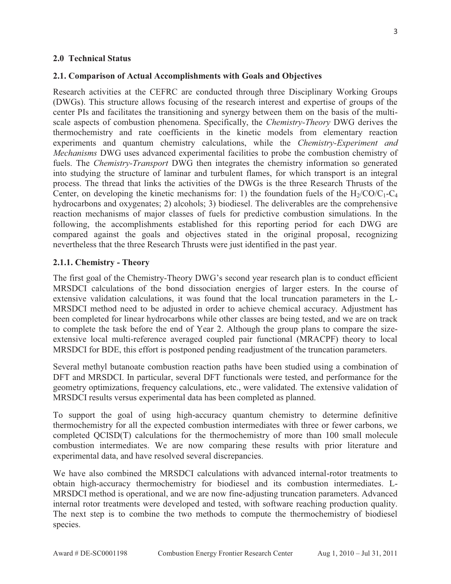#### **2.0 Technical Status**

#### **2.1. Comparison of Actual Accomplishments with Goals and Objectives**

Research activities at the CEFRC are conducted through three Disciplinary Working Groups (DWGs). This structure allows focusing of the research interest and expertise of groups of the center PIs and facilitates the transitioning and synergy between them on the basis of the multiscale aspects of combustion phenomena. Specifically, the *Chemistry-Theory* DWG derives the thermochemistry and rate coefficients in the kinetic models from elementary reaction experiments and quantum chemistry calculations, while the *Chemistry-Experiment and Mechanisms* DWG uses advanced experimental facilities to probe the combustion chemistry of fuels. The *Chemistry-Transport* DWG then integrates the chemistry information so generated into studying the structure of laminar and turbulent flames, for which transport is an integral process. The thread that links the activities of the DWGs is the three Research Thrusts of the Center, on developing the kinetic mechanisms for: 1) the foundation fuels of the  $H_2/CO/C_1-C_4$ hydrocarbons and oxygenates; 2) alcohols; 3) biodiesel. The deliverables are the comprehensive reaction mechanisms of major classes of fuels for predictive combustion simulations. In the following, the accomplishments established for this reporting period for each DWG are compared against the goals and objectives stated in the original proposal, recognizing nevertheless that the three Research Thrusts were just identified in the past year.

#### **2.1.1. Chemistry - Theory**

The first goal of the Chemistry-Theory DWG's second year research plan is to conduct efficient MRSDCI calculations of the bond dissociation energies of larger esters. In the course of extensive validation calculations, it was found that the local truncation parameters in the L-MRSDCI method need to be adjusted in order to achieve chemical accuracy. Adjustment has been completed for linear hydrocarbons while other classes are being tested, and we are on track to complete the task before the end of Year 2. Although the group plans to compare the sizeextensive local multi-reference averaged coupled pair functional (MRACPF) theory to local MRSDCI for BDE, this effort is postponed pending readjustment of the truncation parameters.

Several methyl butanoate combustion reaction paths have been studied using a combination of DFT and MRSDCI. In particular, several DFT functionals were tested, and performance for the geometry optimizations, frequency calculations, etc., were validated. The extensive validation of MRSDCI results versus experimental data has been completed as planned.

To support the goal of using high-accuracy quantum chemistry to determine definitive thermochemistry for all the expected combustion intermediates with three or fewer carbons, we completed QCISD(T) calculations for the thermochemistry of more than 100 small molecule combustion intermediates. We are now comparing these results with prior literature and experimental data, and have resolved several discrepancies.

We have also combined the MRSDCI calculations with advanced internal-rotor treatments to obtain high-accuracy thermochemistry for biodiesel and its combustion intermediates. L-MRSDCI method is operational, and we are now fine-adjusting truncation parameters. Advanced internal rotor treatments were developed and tested, with software reaching production quality. The next step is to combine the two methods to compute the thermochemistry of biodiesel species.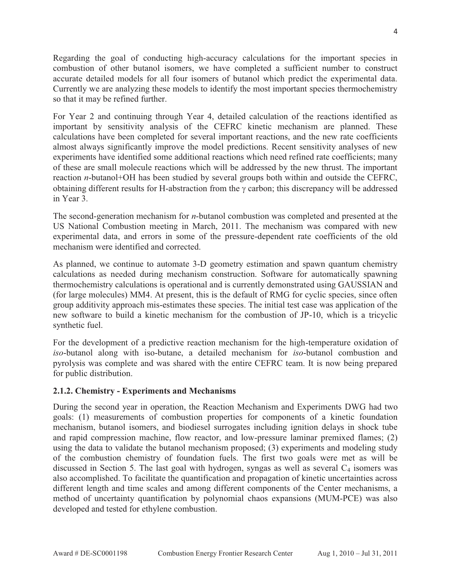Regarding the goal of conducting high-accuracy calculations for the important species in combustion of other butanol isomers, we have completed a sufficient number to construct accurate detailed models for all four isomers of butanol which predict the experimental data. Currently we are analyzing these models to identify the most important species thermochemistry so that it may be refined further.

For Year 2 and continuing through Year 4, detailed calculation of the reactions identified as important by sensitivity analysis of the CEFRC kinetic mechanism are planned. These calculations have been completed for several important reactions, and the new rate coefficients almost always significantly improve the model predictions. Recent sensitivity analyses of new experiments have identified some additional reactions which need refined rate coefficients; many of these are small molecule reactions which will be addressed by the new thrust. The important reaction *n*-butanol+OH has been studied by several groups both within and outside the CEFRC, obtaining different results for H-abstraction from the  $\gamma$  carbon; this discrepancy will be addressed in Year 3.

The second-generation mechanism for *n*-butanol combustion was completed and presented at the US National Combustion meeting in March, 2011. The mechanism was compared with new experimental data, and errors in some of the pressure-dependent rate coefficients of the old mechanism were identified and corrected.

As planned, we continue to automate 3-D geometry estimation and spawn quantum chemistry calculations as needed during mechanism construction. Software for automatically spawning thermochemistry calculations is operational and is currently demonstrated using GAUSSIAN and (for large molecules) MM4. At present, this is the default of RMG for cyclic species, since often group additivity approach mis-estimates these species. The initial test case was application of the new software to build a kinetic mechanism for the combustion of JP-10, which is a tricyclic synthetic fuel.

For the development of a predictive reaction mechanism for the high-temperature oxidation of *iso*-butanol along with iso-butane, a detailed mechanism for *iso*-butanol combustion and pyrolysis was complete and was shared with the entire CEFRC team. It is now being prepared for public distribution.

## **2.1.2. Chemistry - Experiments and Mechanisms**

During the second year in operation, the Reaction Mechanism and Experiments DWG had two goals: (1) measurements of combustion properties for components of a kinetic foundation mechanism, butanol isomers, and biodiesel surrogates including ignition delays in shock tube and rapid compression machine, flow reactor, and low-pressure laminar premixed flames; (2) using the data to validate the butanol mechanism proposed; (3) experiments and modeling study of the combustion chemistry of foundation fuels. The first two goals were met as will be discussed in Section 5. The last goal with hydrogen, syngas as well as several  $C_4$  isomers was also accomplished. To facilitate the quantification and propagation of kinetic uncertainties across different length and time scales and among different components of the Center mechanisms, a method of uncertainty quantification by polynomial chaos expansions (MUM-PCE) was also developed and tested for ethylene combustion.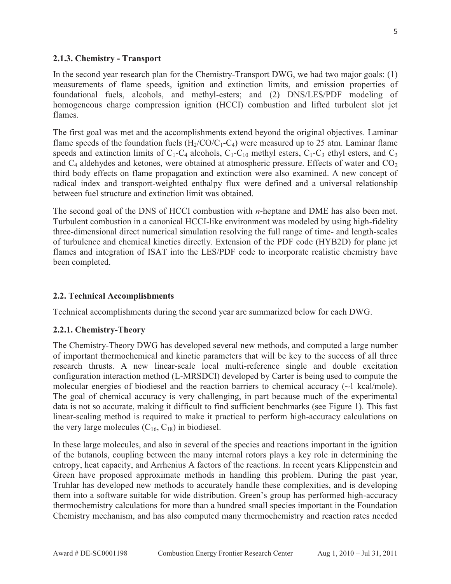#### **2.1.3. Chemistry - Transport**

In the second year research plan for the Chemistry-Transport DWG, we had two major goals: (1) measurements of flame speeds, ignition and extinction limits, and emission properties of foundational fuels, alcohols, and methyl-esters; and (2) DNS/LES/PDF modeling of homogeneous charge compression ignition (HCCI) combustion and lifted turbulent slot jet flames.

The first goal was met and the accomplishments extend beyond the original objectives. Laminar flame speeds of the foundation fuels  $(H_2/CO/C_1-C_4)$  were measured up to 25 atm. Laminar flame speeds and extinction limits of  $C_1$ - $C_4$  alcohols,  $C_1$ - $C_1$ <sub>0</sub> methyl esters,  $C_1$ - $C_3$  ethyl esters, and  $C_3$ and  $C_4$  aldehydes and ketones, were obtained at atmospheric pressure. Effects of water and  $CO<sub>2</sub>$ third body effects on flame propagation and extinction were also examined. A new concept of radical index and transport-weighted enthalpy flux were defined and a universal relationship between fuel structure and extinction limit was obtained.

The second goal of the DNS of HCCI combustion with *n*-heptane and DME has also been met. Turbulent combustion in a canonical HCCI-like environment was modeled by using high-fidelity three-dimensional direct numerical simulation resolving the full range of time- and length-scales of turbulence and chemical kinetics directly. Extension of the PDF code (HYB2D) for plane jet flames and integration of ISAT into the LES/PDF code to incorporate realistic chemistry have been completed.

#### **2.2. Technical Accomplishments**

Technical accomplishments during the second year are summarized below for each DWG.

#### **2.2.1. Chemistry-Theory**

The Chemistry-Theory DWG has developed several new methods, and computed a large number of important thermochemical and kinetic parameters that will be key to the success of all three research thrusts. A new linear-scale local multi-reference single and double excitation configuration interaction method (L-MRSDCI) developed by Carter is being used to compute the molecular energies of biodiesel and the reaction barriers to chemical accuracy (~1 kcal/mole). The goal of chemical accuracy is very challenging, in part because much of the experimental data is not so accurate, making it difficult to find sufficient benchmarks (see Figure 1). This fast linear-scaling method is required to make it practical to perform high-accuracy calculations on the very large molecules  $(C_{16}, C_{18})$  in biodiesel.

In these large molecules, and also in several of the species and reactions important in the ignition of the butanols, coupling between the many internal rotors plays a key role in determining the entropy, heat capacity, and Arrhenius A factors of the reactions. In recent years Klippenstein and Green have proposed approximate methods in handling this problem. During the past year, Truhlar has developed new methods to accurately handle these complexities, and is developing them into a software suitable for wide distribution. Green's group has performed high-accuracy thermochemistry calculations for more than a hundred small species important in the Foundation Chemistry mechanism, and has also computed many thermochemistry and reaction rates needed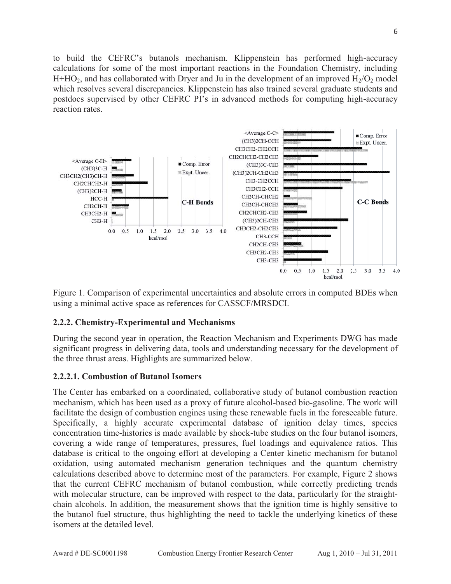to build the CEFRC's butanols mechanism. Klippenstein has performed high-accuracy calculations for some of the most important reactions in the Foundation Chemistry, including  $H+HO<sub>2</sub>$ , and has collaborated with Dryer and Ju in the development of an improved  $H<sub>2</sub>/O<sub>2</sub>$  model which resolves several discrepancies. Klippenstein has also trained several graduate students and postdocs supervised by other CEFRC PI's in advanced methods for computing high-accuracy reaction rates.



Figure 1. Comparison of experimental uncertainties and absolute errors in computed BDEs when using a minimal active space as references for CASSCF/MRSDCI.

## **2.2.2. Chemistry-Experimental and Mechanisms**

During the second year in operation, the Reaction Mechanism and Experiments DWG has made significant progress in delivering data, tools and understanding necessary for the development of the three thrust areas. Highlights are summarized below.

#### **2.2.2.1. Combustion of Butanol Isomers**

The Center has embarked on a coordinated, collaborative study of butanol combustion reaction mechanism, which has been used as a proxy of future alcohol-based bio-gasoline. The work will facilitate the design of combustion engines using these renewable fuels in the foreseeable future. Specifically, a highly accurate experimental database of ignition delay times, species concentration time-histories is made available by shock-tube studies on the four butanol isomers, covering a wide range of temperatures, pressures, fuel loadings and equivalence ratios. This database is critical to the ongoing effort at developing a Center kinetic mechanism for butanol oxidation, using automated mechanism generation techniques and the quantum chemistry calculations described above to determine most of the parameters. For example, Figure 2 shows that the current CEFRC mechanism of butanol combustion, while correctly predicting trends with molecular structure, can be improved with respect to the data, particularly for the straightchain alcohols. In addition, the measurement shows that the ignition time is highly sensitive to the butanol fuel structure, thus highlighting the need to tackle the underlying kinetics of these isomers at the detailed level.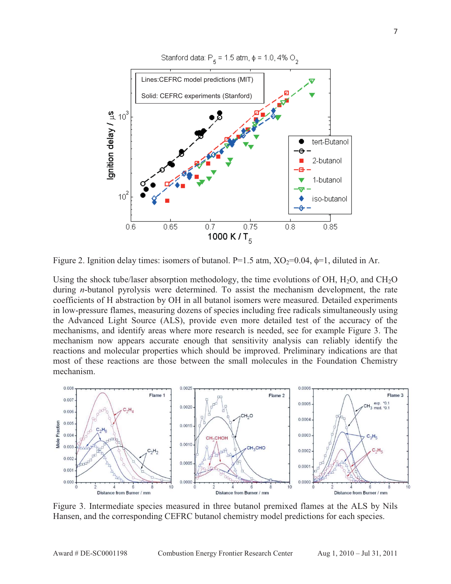

Figure 2. Ignition delay times: isomers of butanol. P=1.5 atm,  $XO_2=0.04$ ,  $\phi=1$ , diluted in Ar.

Using the shock tube/laser absorption methodology, the time evolutions of OH,  $H_2O$ , and  $CH_2O$ during *n*-butanol pyrolysis were determined. To assist the mechanism development, the rate coefficients of H abstraction by OH in all butanol isomers were measured. Detailed experiments in low-pressure flames, measuring dozens of species including free radicals simultaneously using the Advanced Light Source (ALS), provide even more detailed test of the accuracy of the mechanisms, and identify areas where more research is needed, see for example Figure 3. The mechanism now appears accurate enough that sensitivity analysis can reliably identify the reactions and molecular properties which should be improved. Preliminary indications are that most of these reactions are those between the small molecules in the Foundation Chemistry mechanism.



Figure 3. Intermediate species measured in three butanol premixed flames at the ALS by Nils Hansen, and the corresponding CEFRC butanol chemistry model predictions for each species.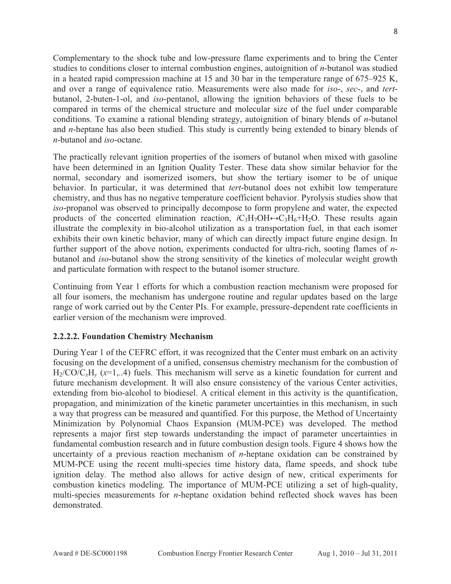Complementary to the shock tube and low-pressure flame experiments and to bring the Center studies to conditions closer to internal combustion engines, autoignition of *n*-butanol was studied in a heated rapid compression machine at 15 and 30 bar in the temperature range of 675–925 K, and over a range of equivalence ratio. Measurements were also made for *iso*-, *sec*-, and *tert*butanol, 2-buten-1-ol, and *iso*-pentanol, allowing the ignition behaviors of these fuels to be compared in terms of the chemical structure and molecular size of the fuel under comparable conditions. To examine a rational blending strategy, autoignition of binary blends of *n*-butanol and *n*-heptane has also been studied. This study is currently being extended to binary blends of *n*-butanol and *iso*-octane.

The practically relevant ignition properties of the isomers of butanol when mixed with gasoline have been determined in an Ignition Quality Tester. These data show similar behavior for the normal, secondary and isomerized isomers, but show the tertiary isomer to be of unique behavior. In particular, it was determined that *tert*-butanol does not exhibit low temperature chemistry, and thus has no negative temperature coefficient behavior. Pyrolysis studies show that *iso*-propanol was observed to principally decompose to form propylene and water, the expected products of the concerted elimination reaction,  $iC_3H_7OH \rightarrow C_3H_6+H_2O$ . These results again illustrate the complexity in bio-alcohol utilization as a transportation fuel, in that each isomer exhibits their own kinetic behavior, many of which can directly impact future engine design. In further support of the above notion, experiments conducted for ultra-rich, sooting flames of *n*butanol and *iso*-butanol show the strong sensitivity of the kinetics of molecular weight growth and particulate formation with respect to the butanol isomer structure.

Continuing from Year 1 efforts for which a combustion reaction mechanism were proposed for all four isomers, the mechanism has undergone routine and regular updates based on the large range of work carried out by the Center PIs. For example, pressure-dependent rate coefficients in earlier version of the mechanism were improved.

#### **2.2.2.2. Foundation Chemistry Mechanism**

During Year 1 of the CEFRC effort, it was recognized that the Center must embark on an activity focusing on the development of a unified, consensus chemistry mechanism for the combustion of  $H_2/CO/C_xH_y$  ( $x=1,..4$ ) fuels. This mechanism will serve as a kinetic foundation for current and future mechanism development. It will also ensure consistency of the various Center activities, extending from bio-alcohol to biodiesel. A critical element in this activity is the quantification, propagation, and minimization of the kinetic parameter uncertainties in this mechanism, in such a way that progress can be measured and quantified. For this purpose, the Method of Uncertainty Minimization by Polynomial Chaos Expansion (MUM-PCE) was developed. The method represents a major first step towards understanding the impact of parameter uncertainties in fundamental combustion research and in future combustion design tools. Figure 4 shows how the uncertainty of a previous reaction mechanism of *n*-heptane oxidation can be constrained by MUM-PCE using the recent multi-species time history data, flame speeds, and shock tube ignition delay. The method also allows for active design of new, critical experiments for combustion kinetics modeling. The importance of MUM-PCE utilizing a set of high-quality, multi-species measurements for *n*-heptane oxidation behind reflected shock waves has been demonstrated.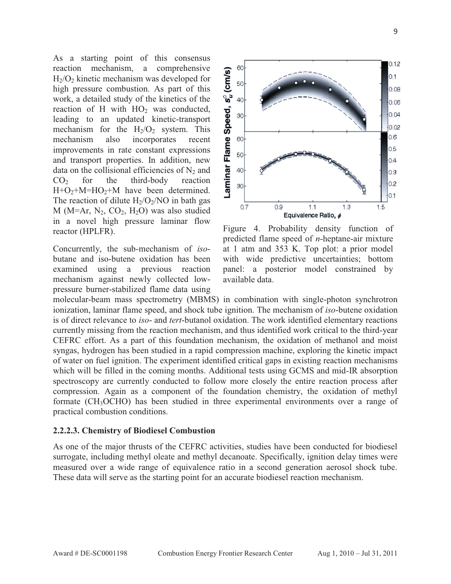As a starting point of this consensus reaction mechanism, a comprehensive  $H<sub>2</sub>/O<sub>2</sub>$  kinetic mechanism was developed for high pressure combustion. As part of this work, a detailed study of the kinetics of the reaction of H with  $HO<sub>2</sub>$  was conducted, leading to an updated kinetic-transport mechanism for the  $H_2/O_2$  system. This mechanism also incorporates recent improvements in rate constant expressions and transport properties. In addition, new data on the collisional efficiencies of  $N_2$  and  $CO<sub>2</sub>$  for the third-body reaction  $H+O<sub>2</sub>+M=HO<sub>2</sub>+M$  have been determined. The reaction of dilute  $H_2/O_2/NO$  in bath gas M ( $M=Ar$ ,  $N_2$ ,  $CO_2$ ,  $H_2O$ ) was also studied in a novel high pressure laminar flow reactor (HPLFR).

Concurrently, the sub-mechanism of *iso*butane and iso-butene oxidation has been examined using a previous reaction mechanism against newly collected lowpressure burner-stabilized flame data using



Figure 4. Probability density function of predicted flame speed of *n*-heptane-air mixture at 1 atm and 353 K. Top plot: a prior model with wide predictive uncertainties; bottom panel: a posterior model constrained by available data.

molecular-beam mass spectrometry (MBMS) in combination with single-photon synchrotron ionization, laminar flame speed, and shock tube ignition. The mechanism of *iso*-butene oxidation is of direct relevance to *iso*- and *tert*-butanol oxidation. The work identified elementary reactions currently missing from the reaction mechanism, and thus identified work critical to the third-year CEFRC effort. As a part of this foundation mechanism, the oxidation of methanol and moist syngas, hydrogen has been studied in a rapid compression machine, exploring the kinetic impact of water on fuel ignition. The experiment identified critical gaps in existing reaction mechanisms which will be filled in the coming months. Additional tests using GCMS and mid-IR absorption spectroscopy are currently conducted to follow more closely the entire reaction process after compression. Again as a component of the foundation chemistry, the oxidation of methyl formate (CH3OCHO) has been studied in three experimental environments over a range of practical combustion conditions.

#### **2.2.2.3. Chemistry of Biodiesel Combustion**

As one of the major thrusts of the CEFRC activities, studies have been conducted for biodiesel surrogate, including methyl oleate and methyl decanoate. Specifically, ignition delay times were measured over a wide range of equivalence ratio in a second generation aerosol shock tube. These data will serve as the starting point for an accurate biodiesel reaction mechanism.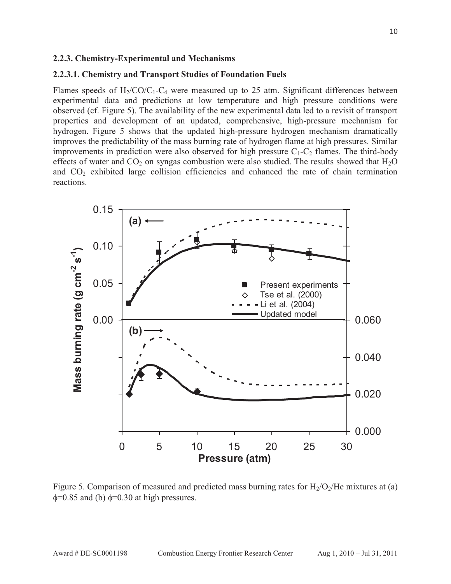#### **2.2.3. Chemistry-Experimental and Mechanisms**

#### **2.2.3.1. Chemistry and Transport Studies of Foundation Fuels**

Flames speeds of  $H_2/CO/C_1-C_4$  were measured up to 25 atm. Significant differences between experimental data and predictions at low temperature and high pressure conditions were observed (cf. Figure 5). The availability of the new experimental data led to a revisit of transport properties and development of an updated, comprehensive, high-pressure mechanism for hydrogen. Figure 5 shows that the updated high-pressure hydrogen mechanism dramatically improves the predictability of the mass burning rate of hydrogen flame at high pressures. Similar improvements in prediction were also observed for high pressure  $C_1-C_2$  flames. The third-body effects of water and  $CO_2$  on syngas combustion were also studied. The results showed that  $H_2O$ and  $CO<sub>2</sub>$  exhibited large collision efficiencies and enhanced the rate of chain termination reactions.



Figure 5. Comparison of measured and predicted mass burning rates for  $H_2/O_2/He$  mixtures at (a)  $\phi$ =0.85 and (b)  $\phi$ =0.30 at high pressures.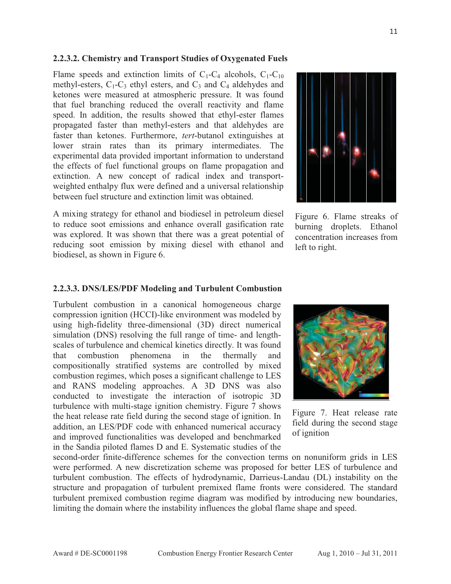#### **2.2.3.2. Chemistry and Transport Studies of Oxygenated Fuels**

Flame speeds and extinction limits of  $C_1-C_4$  alcohols,  $C_1-C_{10}$ methyl-esters,  $C_1$ - $C_3$  ethyl esters, and  $C_3$  and  $C_4$  aldehydes and ketones were measured at atmospheric pressure. It was found that fuel branching reduced the overall reactivity and flame speed. In addition, the results showed that ethyl-ester flames propagated faster than methyl-esters and that aldehydes are faster than ketones. Furthermore, *tert*-butanol extinguishes at lower strain rates than its primary intermediates. The experimental data provided important information to understand the effects of fuel functional groups on flame propagation and extinction. A new concept of radical index and transportweighted enthalpy flux were defined and a universal relationship between fuel structure and extinction limit was obtained.

A mixing strategy for ethanol and biodiesel in petroleum diesel to reduce soot emissions and enhance overall gasification rate was explored. It was shown that there was a great potential of reducing soot emission by mixing diesel with ethanol and biodiesel, as shown in Figure 6.



Figure 6. Flame streaks of burning droplets. Ethanol concentration increases from left to right.

#### **2.2.3.3. DNS/LES/PDF Modeling and Turbulent Combustion**

Turbulent combustion in a canonical homogeneous charge compression ignition (HCCI)-like environment was modeled by using high-fidelity three-dimensional (3D) direct numerical simulation (DNS) resolving the full range of time- and lengthscales of turbulence and chemical kinetics directly. It was found that combustion phenomena in the thermally and compositionally stratified systems are controlled by mixed combustion regimes, which poses a significant challenge to LES and RANS modeling approaches. A 3D DNS was also conducted to investigate the interaction of isotropic 3D turbulence with multi-stage ignition chemistry. Figure 7 shows the heat release rate field during the second stage of ignition. In addition, an LES/PDF code with enhanced numerical accuracy and improved functionalities was developed and benchmarked in the Sandia piloted flames D and E. Systematic studies of the



Figure 7. Heat release rate field during the second stage of ignition

second-order finite-difference schemes for the convection terms on nonuniform grids in LES were performed. A new discretization scheme was proposed for better LES of turbulence and turbulent combustion. The effects of hydrodynamic, Darrieus-Landau (DL) instability on the structure and propagation of turbulent premixed flame fronts were considered. The standard turbulent premixed combustion regime diagram was modified by introducing new boundaries, limiting the domain where the instability influences the global flame shape and speed.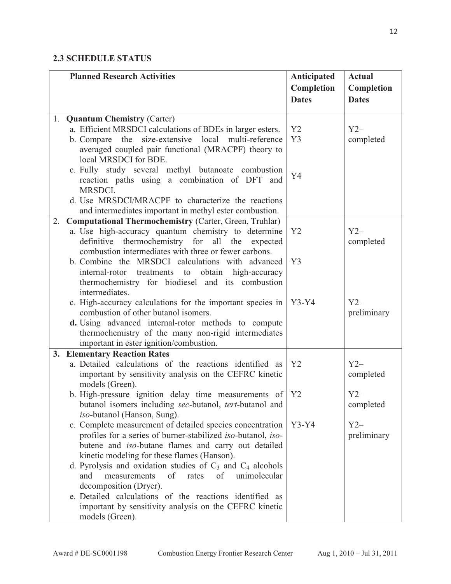## **2.3 SCHEDULE STATUS**

|    | <b>Planned Research Activities</b>                                                                                         | Anticipated    | <b>Actual</b> |
|----|----------------------------------------------------------------------------------------------------------------------------|----------------|---------------|
|    |                                                                                                                            | Completion     | Completion    |
|    |                                                                                                                            | <b>Dates</b>   | <b>Dates</b>  |
|    |                                                                                                                            |                |               |
| 1. | <b>Quantum Chemistry (Carter)</b>                                                                                          | Y2             | $Y2-$         |
|    | a. Efficient MRSDCI calculations of BDEs in larger esters.<br>size-extensive local multi-reference<br>the<br>b. Compare    | Y3             |               |
|    | averaged coupled pair functional (MRACPF) theory to                                                                        |                | completed     |
|    | local MRSDCI for BDE.                                                                                                      |                |               |
|    | c. Fully study several methyl butanoate combustion                                                                         |                |               |
|    | reaction paths using a combination of DFT and                                                                              | Y4             |               |
|    | MRSDCI.                                                                                                                    |                |               |
|    | d. Use MRSDCI/MRACPF to characterize the reactions                                                                         |                |               |
|    | and intermediates important in methyl ester combustion.                                                                    |                |               |
| 2. | <b>Computational Thermochemistry (Carter, Green, Truhlar)</b>                                                              |                |               |
|    | a. Use high-accuracy quantum chemistry to determine                                                                        | Y <sub>2</sub> | $Y2-$         |
|    | definitive thermochemistry for all the expected                                                                            |                | completed     |
|    | combustion intermediates with three or fewer carbons.                                                                      |                |               |
|    | b. Combine the MRSDCI calculations with advanced                                                                           | Y <sub>3</sub> |               |
|    | treatments to obtain high-accuracy<br>internal-rotor                                                                       |                |               |
|    | thermochemistry for biodiesel and its combustion                                                                           |                |               |
|    | intermediates.                                                                                                             |                |               |
|    | c. High-accuracy calculations for the important species in<br>combustion of other butanol isomers.                         | $Y3-Y4$        | $Y2-$         |
|    | d. Using advanced internal-rotor methods to compute                                                                        |                | preliminary   |
|    | thermochemistry of the many non-rigid intermediates                                                                        |                |               |
|    | important in ester ignition/combustion.                                                                                    |                |               |
| 3. | <b>Elementary Reaction Rates</b>                                                                                           |                |               |
|    | a. Detailed calculations of the reactions identified as                                                                    | Y2             | $Y2-$         |
|    | important by sensitivity analysis on the CEFRC kinetic                                                                     |                | completed     |
|    | models (Green).                                                                                                            |                |               |
|    | b. High-pressure ignition delay time measurements of                                                                       | Y <sub>2</sub> | $Y2-$         |
|    | butanol isomers including sec-butanol, tert-butanol and                                                                    |                | completed     |
|    | iso-butanol (Hanson, Sung).                                                                                                |                |               |
|    | c. Complete measurement of detailed species concentration                                                                  | $Y3-Y4$        | $Y2-$         |
|    | profiles for a series of burner-stabilized iso-butanol, iso-                                                               |                | preliminary   |
|    | butene and <i>iso</i> -butane flames and carry out detailed                                                                |                |               |
|    | kinetic modeling for these flames (Hanson).                                                                                |                |               |
|    | d. Pyrolysis and oxidation studies of $C_3$ and $C_4$ alcohols<br>and<br>measurements<br>of<br>of<br>unimolecular<br>rates |                |               |
|    | decomposition (Dryer).                                                                                                     |                |               |
|    | e. Detailed calculations of the reactions identified as                                                                    |                |               |
|    | important by sensitivity analysis on the CEFRC kinetic                                                                     |                |               |
|    | models (Green).                                                                                                            |                |               |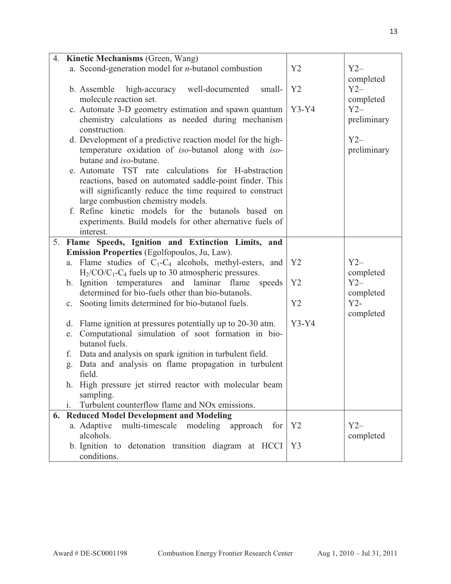| 4. | <b>Kinetic Mechanisms (Green, Wang)</b>                                                                                                                                                                                                                                                                                                                                                                                                                                                                                                                                                                                                                                                                        |                |                                                                                 |
|----|----------------------------------------------------------------------------------------------------------------------------------------------------------------------------------------------------------------------------------------------------------------------------------------------------------------------------------------------------------------------------------------------------------------------------------------------------------------------------------------------------------------------------------------------------------------------------------------------------------------------------------------------------------------------------------------------------------------|----------------|---------------------------------------------------------------------------------|
|    | a. Second-generation model for $n$ -butanol combustion                                                                                                                                                                                                                                                                                                                                                                                                                                                                                                                                                                                                                                                         | Y2             | $Y2-$                                                                           |
|    | high-accuracy well-documented<br>b. Assemble<br>small-<br>molecule reaction set.<br>c. Automate 3-D geometry estimation and spawn quantum<br>chemistry calculations as needed during mechanism<br>construction.<br>d. Development of a predictive reaction model for the high-<br>temperature oxidation of iso-butanol along with iso-<br>butane and <i>iso</i> -butane.<br>e. Automate TST rate calculations for H-abstraction<br>reactions, based on automated saddle-point finder. This<br>will significantly reduce the time required to construct<br>large combustion chemistry models.<br>f. Refine kinetic models for the butanols based on<br>experiments. Build models for other alternative fuels of | Y2<br>$Y3-Y4$  | completed<br>$Y2-$<br>completed<br>$Y2-$<br>preliminary<br>$Y2-$<br>preliminary |
|    | interest.                                                                                                                                                                                                                                                                                                                                                                                                                                                                                                                                                                                                                                                                                                      |                |                                                                                 |
|    | 5. Flame Speeds, Ignition and Extinction Limits, and                                                                                                                                                                                                                                                                                                                                                                                                                                                                                                                                                                                                                                                           |                |                                                                                 |
|    | Emission Properties (Egolfopoulos, Ju, Law).                                                                                                                                                                                                                                                                                                                                                                                                                                                                                                                                                                                                                                                                   |                |                                                                                 |
|    | Flame studies of $C_1-C_4$ alcohols, methyl-esters, and<br>a.                                                                                                                                                                                                                                                                                                                                                                                                                                                                                                                                                                                                                                                  | Y2             | $Y2-$                                                                           |
|    | $H_2$ /CO/C <sub>1</sub> -C <sub>4</sub> fuels up to 30 atmospheric pressures.                                                                                                                                                                                                                                                                                                                                                                                                                                                                                                                                                                                                                                 |                | completed                                                                       |
|    | b. Ignition temperatures and laminar flame<br>speeds                                                                                                                                                                                                                                                                                                                                                                                                                                                                                                                                                                                                                                                           | Y2             | $Y2-$                                                                           |
|    | determined for bio-fuels other than bio-butanols.                                                                                                                                                                                                                                                                                                                                                                                                                                                                                                                                                                                                                                                              |                | completed                                                                       |
|    | Sooting limits determined for bio-butanol fuels.<br>$\mathbf{c}$ .                                                                                                                                                                                                                                                                                                                                                                                                                                                                                                                                                                                                                                             | Y2             | $Y2-$                                                                           |
|    |                                                                                                                                                                                                                                                                                                                                                                                                                                                                                                                                                                                                                                                                                                                |                | completed                                                                       |
|    | d. Flame ignition at pressures potentially up to 20-30 atm.                                                                                                                                                                                                                                                                                                                                                                                                                                                                                                                                                                                                                                                    | $Y3-Y4$        |                                                                                 |
|    | Computational simulation of soot formation in bio-<br>e.<br>butanol fuels.                                                                                                                                                                                                                                                                                                                                                                                                                                                                                                                                                                                                                                     |                |                                                                                 |
|    | Data and analysis on spark ignition in turbulent field.<br>f.                                                                                                                                                                                                                                                                                                                                                                                                                                                                                                                                                                                                                                                  |                |                                                                                 |
|    | Data and analysis on flame propagation in turbulent<br>g.                                                                                                                                                                                                                                                                                                                                                                                                                                                                                                                                                                                                                                                      |                |                                                                                 |
|    | field.                                                                                                                                                                                                                                                                                                                                                                                                                                                                                                                                                                                                                                                                                                         |                |                                                                                 |
|    | High pressure jet stirred reactor with molecular beam<br>sampling.                                                                                                                                                                                                                                                                                                                                                                                                                                                                                                                                                                                                                                             |                |                                                                                 |
|    | Turbulent counterflow flame and NO <sub>x</sub> emissions.<br>i.                                                                                                                                                                                                                                                                                                                                                                                                                                                                                                                                                                                                                                               |                |                                                                                 |
| 6. | <b>Reduced Model Development and Modeling</b>                                                                                                                                                                                                                                                                                                                                                                                                                                                                                                                                                                                                                                                                  |                |                                                                                 |
|    | a. Adaptive<br>multi-timescale<br>modeling<br>approach<br>for                                                                                                                                                                                                                                                                                                                                                                                                                                                                                                                                                                                                                                                  | Y2             | $Y2-$                                                                           |
|    | alcohols.                                                                                                                                                                                                                                                                                                                                                                                                                                                                                                                                                                                                                                                                                                      |                | completed                                                                       |
|    | b. Ignition to detonation transition diagram at HCCI                                                                                                                                                                                                                                                                                                                                                                                                                                                                                                                                                                                                                                                           | Y <sub>3</sub> |                                                                                 |
|    | conditions.                                                                                                                                                                                                                                                                                                                                                                                                                                                                                                                                                                                                                                                                                                    |                |                                                                                 |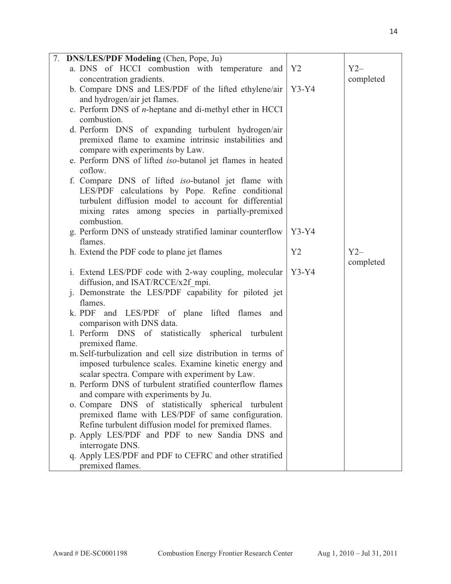| 7. DNS/LES/PDF Modeling (Chen, Pope, Ju)                                        |         |           |
|---------------------------------------------------------------------------------|---------|-----------|
| a. DNS of HCCI combustion with temperature and                                  | Y2      | $Y2-$     |
| concentration gradients.                                                        |         | completed |
| b. Compare DNS and LES/PDF of the lifted ethylene/air                           | $Y3-Y4$ |           |
| and hydrogen/air jet flames.                                                    |         |           |
| c. Perform DNS of <i>n</i> -heptane and di-methyl ether in HCCI                 |         |           |
| combustion.                                                                     |         |           |
| d. Perform DNS of expanding turbulent hydrogen/air                              |         |           |
| premixed flame to examine intrinsic instabilities and                           |         |           |
| compare with experiments by Law.                                                |         |           |
| e. Perform DNS of lifted iso-butanol jet flames in heated                       |         |           |
| coflow.                                                                         |         |           |
| f. Compare DNS of lifted <i>iso</i> -butanol jet flame with                     |         |           |
| LES/PDF calculations by Pope. Refine conditional                                |         |           |
| turbulent diffusion model to account for differential                           |         |           |
| mixing rates among species in partially-premixed                                |         |           |
| combustion.                                                                     |         |           |
| g. Perform DNS of unsteady stratified laminar counterflow<br>flames.            | $Y3-Y4$ |           |
|                                                                                 | Y2      | $Y2-$     |
| h. Extend the PDF code to plane jet flames                                      |         | completed |
| i. Extend LES/PDF code with 2-way coupling, molecular                           | $Y3-Y4$ |           |
| diffusion, and ISAT/RCCE/x2f mpi.                                               |         |           |
|                                                                                 |         |           |
|                                                                                 |         |           |
| j. Demonstrate the LES/PDF capability for piloted jet                           |         |           |
| flames.                                                                         |         |           |
| k. PDF and LES/PDF of plane lifted flames<br>and                                |         |           |
| comparison with DNS data.                                                       |         |           |
| 1. Perform DNS of statistically spherical turbulent                             |         |           |
| premixed flame.<br>m. Self-turbulization and cell size distribution in terms of |         |           |
| imposed turbulence scales. Examine kinetic energy and                           |         |           |
| scalar spectra. Compare with experiment by Law.                                 |         |           |
| n. Perform DNS of turbulent stratified counterflow flames                       |         |           |
| and compare with experiments by Ju.                                             |         |           |
| o. Compare DNS of statistically spherical turbulent                             |         |           |
| premixed flame with LES/PDF of same configuration.                              |         |           |
| Refine turbulent diffusion model for premixed flames.                           |         |           |
| p. Apply LES/PDF and PDF to new Sandia DNS and                                  |         |           |
| interrogate DNS.                                                                |         |           |
| q. Apply LES/PDF and PDF to CEFRC and other stratified<br>premixed flames.      |         |           |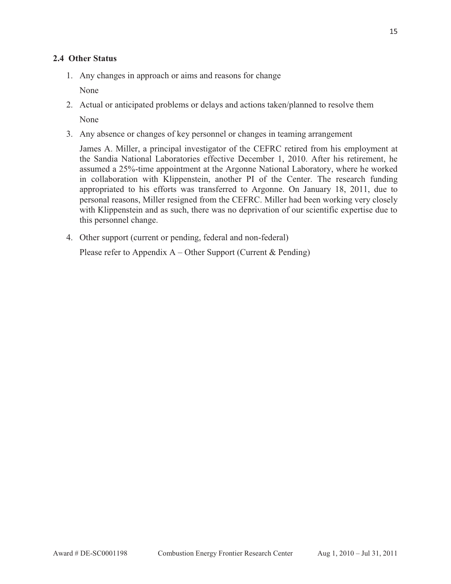## **2.4 Other Status**

1. Any changes in approach or aims and reasons for change

None

- 2. Actual or anticipated problems or delays and actions taken/planned to resolve them None
- 3. Any absence or changes of key personnel or changes in teaming arrangement

James A. Miller, a principal investigator of the CEFRC retired from his employment at the Sandia National Laboratories effective December 1, 2010. After his retirement, he assumed a 25%-time appointment at the Argonne National Laboratory, where he worked in collaboration with Klippenstein, another PI of the Center. The research funding appropriated to his efforts was transferred to Argonne. On January 18, 2011, due to personal reasons, Miller resigned from the CEFRC. Miller had been working very closely with Klippenstein and as such, there was no deprivation of our scientific expertise due to this personnel change.

4. Other support (current or pending, federal and non-federal)

Please refer to Appendix  $A -$ Other Support (Current & Pending)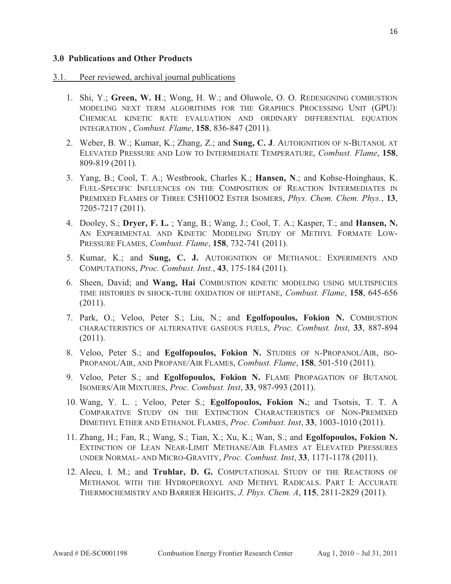#### **3.0 Publications and Other Products**

#### 3.1. Peer reviewed, archival journal publications

- 1. Shi, Y.; **Green, W. H**.; Wong, H. W.; and Oluwole, O. O. REDESIGNING COMBUSTION MODELING NEXT TERM ALGORITHMS FOR THE GRAPHICS PROCESSING UNIT (GPU): CHEMICAL KINETIC RATE EVALUATION AND ORDINARY DIFFERENTIAL EQUATION INTEGRATION , *Combust. Flame*, **158**, 836-847 (2011).
- 2. Weber, B. W.; Kumar, K.; Zhang, Z.; and **Sung, C. J**. AUTOIGNITION OF N-BUTANOL AT ELEVATED PRESSURE AND LOW TO INTERMEDIATE TEMPERATURE, *Combust. Flame*, **158**, 809-819 (2011).
- 3. Yang, B.; Cool, T. A.; Westbrook, Charles K.; **Hansen, N**.; and Kohse-Hoinghaus, K. FUEL-SPECIFIC INFLUENCES ON THE COMPOSITION OF REACTION INTERMEDIATES IN PREMIXED FLAMES OF THREE C5H10O2 ESTER ISOMERS, *Phys. Chem. Chem. Phys.*, **13**, 7205-7217 (2011).
- 4. Dooley, S.; **Dryer, F. L.** ; Yang, B.; Wang, J.; Cool, T. A.; Kasper, T.; and **Hansen, N.** AN EXPERIMENTAL AND KINETIC MODELING STUDY OF METHYL FORMATE LOW-PRESSURE FLAMES, *Combust. Flame*, **158**, 732-741 (2011).
- 5. Kumar, K.; and **Sung, C. J.** AUTOIGNITION OF METHANOL: EXPERIMENTS AND COMPUTATIONS, *Proc. Combust. Inst.*, **43**, 175-184 (2011).
- 6. Sheen, David; and **Wang, Hai** COMBUSTION KINETIC MODELING USING MULTISPECIES TIME HISTORIES IN SHOCK-TUBE OXIDATION OF HEPTANE, *Combust. Flame*, **158**, 645-656 (2011).
- 7. Park, O.; Veloo, Peter S.; Liu, N.; and **Egolfopoulos, Fokion N.** COMBUSTION CHARACTERISTICS OF ALTERNATIVE GASEOUS FUELS, *Proc. Combust. Inst*, **33**, 887-894 (2011).
- 8. Veloo, Peter S.; and **Egolfopoulos, Fokion N.** STUDIES OF N-PROPANOL/AIR, ISO-PROPANOL/AIR, AND PROPANE/AIR FLAMES, *Combust. Flame*, **158**, 501-510 (2011).
- 9. Veloo, Peter S.; and **Egolfopoulos, Fokion N.** FLAME PROPAGATION OF BUTANOL ISOMERS/AIR MIXTURES, *Proc. Combust. Inst*, **33**, 987-993 (2011).
- 10. Wang, Y. L. ; Veloo, Peter S.; **Egolfopoulos, Fokion N.**; and Tsotsis, T. T. A COMPARATIVE STUDY ON THE EXTINCTION CHARACTERISTICS OF NON-PREMIXED DIMETHYL ETHER AND ETHANOL FLAMES, *Proc. Combust. Inst*, **33**, 1003-1010 (2011).
- 11. Zhang, H.; Fan, R.; Wang, S.; Tian, X.; Xu, K.; Wan, S.; and **Egolfopoulos, Fokion N.** EXTINCTION OF LEAN NEAR-LIMIT METHANE/AIR FLAMES AT ELEVATED PRESSURES UNDER NORMAL- AND MICRO-GRAVITY, *Proc. Combust. Inst*, **33**, 1171-1178 (2011).
- 12. Alecu, I. M.; and **Truhlar, D. G.** COMPUTATIONAL STUDY OF THE REACTIONS OF METHANOL WITH THE HYDROPEROXYL AND METHYL RADICALS. PART I: ACCURATE THERMOCHEMISTRY AND BARRIER HEIGHTS, *J. Phys. Chem. A*, **115**, 2811-2829 (2011).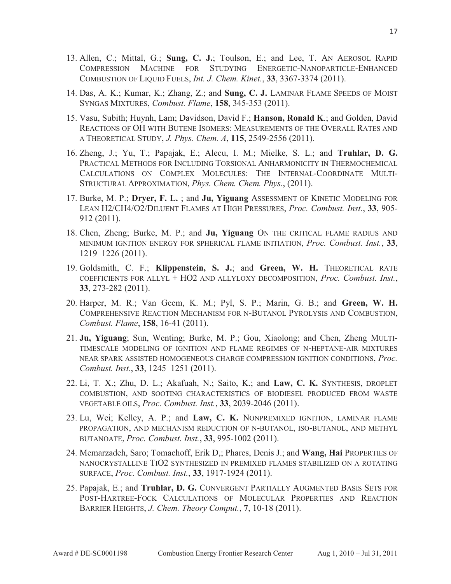- 13. Allen, C.; Mittal, G.; **Sung, C. J.**; Toulson, E.; and Lee, T. AN AEROSOL RAPID COMPRESSION MACHINE FOR STUDYING ENERGETIC-NANOPARTICLE-ENHANCED COMBUSTION OF LIQUID FUELS, *Int. J. Chem. Kinet.*, **33**, 3367-3374 (2011).
- 14. Das, A. K.; Kumar, K.; Zhang, Z.; and **Sung, C. J.** LAMINAR FLAME SPEEDS OF MOIST SYNGAS MIXTURES, *Combust. Flame*, **158**, 345-353 (2011).
- 15. Vasu, Subith; Huynh, Lam; Davidson, David F.; **Hanson, Ronald K**.; and Golden, David REACTIONS OF OH WITH BUTENE ISOMERS: MEASUREMENTS OF THE OVERALL RATES AND A THEORETICAL STUDY, *J. Phys. Chem. A*, **115**, 2549-2556 (2011).
- 16. Zheng, J.; Yu, T.; Papajak, E.; Alecu, I. M.; Mielke, S. L.; and **Truhlar, D. G.** PRACTICAL METHODS FOR INCLUDING TORSIONAL ANHARMONICITY IN THERMOCHEMICAL CALCULATIONS ON COMPLEX MOLECULES: THE INTERNAL-COORDINATE MULTI-STRUCTURAL APPROXIMATION, *Phys. Chem. Chem. Phys.*, (2011).
- 17. Burke, M. P.; **Dryer, F. L.** ; and **Ju, Yiguang** ASSESSMENT OF KINETIC MODELING FOR LEAN H2/CH4/O2/DILUENT FLAMES AT HIGH PRESSURES, *Proc. Combust. Inst.*, **33**, 905- 912 (2011).
- 18. Chen, Zheng; Burke, M. P.; and **Ju, Yiguang** ON THE CRITICAL FLAME RADIUS AND MINIMUM IGNITION ENERGY FOR SPHERICAL FLAME INITIATION, *Proc. Combust. Inst.*, **33**, 1219–1226 (2011).
- 19. Goldsmith, C. F.; **Klippenstein, S. J.**; and **Green, W. H.** THEORETICAL RATE COEFFICIENTS FOR ALLYL + HO2 AND ALLYLOXY DECOMPOSITION, *Proc. Combust. Inst.*, **33**, 273-282 (2011).
- 20. Harper, M. R.; Van Geem, K. M.; Pyl, S. P.; Marin, G. B.; and **Green, W. H.** COMPREHENSIVE REACTION MECHANISM FOR N-BUTANOL PYROLYSIS AND COMBUSTION, *Combust. Flame*, **158**, 16-41 (2011).
- 21. **Ju, Yiguang**; Sun, Wenting; Burke, M. P.; Gou, Xiaolong; and Chen, Zheng MULTI-TIMESCALE MODELING OF IGNITION AND FLAME REGIMES OF N-HEPTANE-AIR MIXTURES NEAR SPARK ASSISTED HOMOGENEOUS CHARGE COMPRESSION IGNITION CONDITIONS, *Proc. Combust. Inst.*, **33**, 1245–1251 (2011).
- 22. Li, T. X.; Zhu, D. L.; Akafuah, N.; Saito, K.; and **Law, C. K.** SYNTHESIS, DROPLET COMBUSTION, AND SOOTING CHARACTERISTICS OF BIODIESEL PRODUCED FROM WASTE VEGETABLE OILS, *Proc. Combust. Inst.*, **33**, 2039-2046 (2011).
- 23. Lu, Wei; Kelley, A. P.; and **Law, C. K.** NONPREMIXED IGNITION, LAMINAR FLAME PROPAGATION, AND MECHANISM REDUCTION OF N-BUTANOL, ISO-BUTANOL, AND METHYL BUTANOATE, *Proc. Combust. Inst.*, **33**, 995-1002 (2011).
- 24. Memarzadeh, Saro; Tomachoff, Erik D,; Phares, Denis J.; and **Wang, Hai** PROPERTIES OF NANOCRYSTALLINE TIO2 SYNTHESIZED IN PREMIXED FLAMES STABILIZED ON A ROTATING SURFACE, *Proc. Combust. Inst.*, **33**, 1917-1924 (2011).
- 25. Papajak, E.; and **Truhlar, D. G.** CONVERGENT PARTIALLY AUGMENTED BASIS SETS FOR POST-HARTREE-FOCK CALCULATIONS OF MOLECULAR PROPERTIES AND REACTION BARRIER HEIGHTS, *J. Chem. Theory Comput.*, **7**, 10-18 (2011).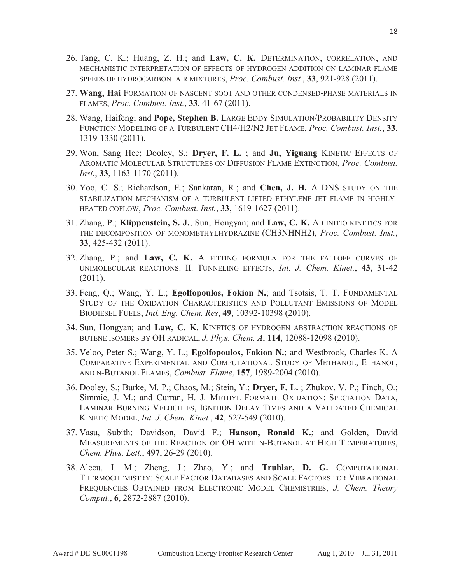- 26. Tang, C. K.; Huang, Z. H.; and **Law, C. K.** DETERMINATION, CORRELATION, AND MECHANISTIC INTERPRETATION OF EFFECTS OF HYDROGEN ADDITION ON LAMINAR FLAME SPEEDS OF HYDROCARBON–AIR MIXTURES, *Proc. Combust. Inst.*, **33**, 921-928 (2011).
- 27. **Wang, Hai** FORMATION OF NASCENT SOOT AND OTHER CONDENSED-PHASE MATERIALS IN FLAMES, *Proc. Combust. Inst.*, **33**, 41-67 (2011).
- 28. Wang, Haifeng; and **Pope, Stephen B.** LARGE EDDY SIMULATION/PROBABILITY DENSITY FUNCTION MODELING OF A TURBULENT CH4/H2/N2 JET FLAME, *Proc. Combust. Inst.*, **33**, 1319-1330 (2011).
- 29. Won, Sang Hee; Dooley, S.; **Dryer, F. L.** ; and **Ju, Yiguang** KINETIC EFFECTS OF AROMATIC MOLECULAR STRUCTURES ON DIFFUSION FLAME EXTINCTION, *Proc. Combust. Inst.*, **33**, 1163-1170 (2011).
- 30. Yoo, C. S.; Richardson, E.; Sankaran, R.; and **Chen, J. H.** A DNS STUDY ON THE STABILIZATION MECHANISM OF A TURBULENT LIFTED ETHYLENE JET FLAME IN HIGHLY-HEATED COFLOW, *Proc. Combust. Inst.*, **33**, 1619-1627 (2011).
- 31. Zhang, P.; **Klippenstein, S. J.**; Sun, Hongyan; and **Law, C. K.** AB INITIO KINETICS FOR THE DECOMPOSITION OF MONOMETHYLHYDRAZINE (CH3NHNH2), *Proc. Combust. Inst.*, **33**, 425-432 (2011).
- 32. Zhang, P.; and **Law, C. K.** A FITTING FORMULA FOR THE FALLOFF CURVES OF UNIMOLECULAR REACTIONS: II. TUNNELING EFFECTS, *Int. J. Chem. Kinet.*, **43**, 31-42 (2011).
- 33. Feng, Q.; Wang, Y. L.; **Egolfopoulos, Fokion N.**; and Tsotsis, T. T. FUNDAMENTAL STUDY OF THE OXIDATION CHARACTERISTICS AND POLLUTANT EMISSIONS OF MODEL BIODIESEL FUELS, *Ind. Eng. Chem. Res*, **49**, 10392-10398 (2010).
- 34. Sun, Hongyan; and **Law, C. K.** KINETICS OF HYDROGEN ABSTRACTION REACTIONS OF BUTENE ISOMERS BY OH RADICAL, *J. Phys. Chem. A*, **114**, 12088-12098 (2010).
- 35. Veloo, Peter S.; Wang, Y. L.; **Egolfopoulos, Fokion N.**; and Westbrook, Charles K. A COMPARATIVE EXPERIMENTAL AND COMPUTATIONAL STUDY OF METHANOL, ETHANOL, AND N-BUTANOL FLAMES, *Combust. Flame*, **157**, 1989-2004 (2010).
- 36. Dooley, S.; Burke, M. P.; Chaos, M.; Stein, Y.; **Dryer, F. L.** ; Zhukov, V. P.; Finch, O.; Simmie, J. M.; and Curran, H. J. METHYL FORMATE OXIDATION: SPECIATION DATA, LAMINAR BURNING VELOCITIES, IGNITION DELAY TIMES AND A VALIDATED CHEMICAL KINETIC MODEL, *Int. J. Chem. Kinet.*, **42**, 527-549 (2010).
- 37. Vasu, Subith; Davidson, David F.; **Hanson, Ronald K.**; and Golden, David MEASUREMENTS OF THE REACTION OF OH WITH N-BUTANOL AT HIGH TEMPERATURES, *Chem. Phys. Lett.*, **497**, 26-29 (2010).
- 38. Alecu, I. M.; Zheng, J.; Zhao, Y.; and **Truhlar, D. G.** COMPUTATIONAL THERMOCHEMISTRY: SCALE FACTOR DATABASES AND SCALE FACTORS FOR VIBRATIONAL FREQUENCIES OBTAINED FROM ELECTRONIC MODEL CHEMISTRIES, *J. Chem. Theory Comput.*, **6**, 2872-2887 (2010).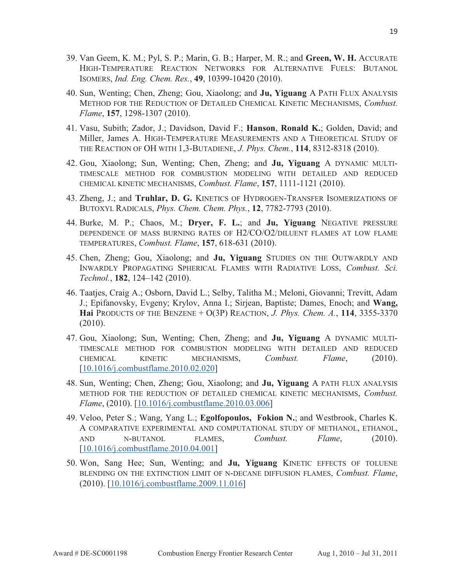- 39. Van Geem, K. M.; Pyl, S. P.; Marin, G. B.; Harper, M. R.; and **Green, W. H.** ACCURATE HIGH-TEMPERATURE REACTION NETWORKS FOR ALTERNATIVE FUELS: BUTANOL ISOMERS, *Ind. Eng. Chem. Res.*, **49**, 10399-10420 (2010).
- 40. Sun, Wenting; Chen, Zheng; Gou, Xiaolong; and **Ju, Yiguang** A PATH FLUX ANALYSIS METHOD FOR THE REDUCTION OF DETAILED CHEMICAL KINETIC MECHANISMS, *Combust. Flame*, **157**, 1298-1307 (2010).
- 41. Vasu, Subith; Zador, J.; Davidson, David F.; **Hanson**, **Ronald K.**; Golden, David; and Miller, James A. HIGH-TEMPERATURE MEASUREMENTS AND A THEORETICAL STUDY OF THE REACTION OF OH WITH 1,3-BUTADIENE, *J. Phys. Chem.*, **114**, 8312-8318 (2010).
- 42. Gou, Xiaolong; Sun, Wenting; Chen, Zheng; and **Ju, Yiguang** A DYNAMIC MULTI-TIMESCALE METHOD FOR COMBUSTION MODELING WITH DETAILED AND REDUCED CHEMICAL KINETIC MECHANISMS, *Combust. Flame*, **157**, 1111-1121 (2010).
- 43. Zheng, J.; and **Truhlar, D. G.** KINETICS OF HYDROGEN-TRANSFER ISOMERIZATIONS OF BUTOXYL RADICALS, *Phys. Chem. Chem. Phys.*, **12**, 7782-7793 (2010).
- 44. Burke, M. P.; Chaos, M.; **Dryer, F. L.**; and **Ju, Yiguang** NEGATIVE PRESSURE DEPENDENCE OF MASS BURNING RATES OF H2/CO/O2/DILUENT FLAMES AT LOW FLAME TEMPERATURES, *Combust. Flame*, **157**, 618-631 (2010).
- 45. Chen, Zheng; Gou, Xiaolong; and **Ju, Yiguang** STUDIES ON THE OUTWARDLY AND INWARDLY PROPAGATING SPHERICAL FLAMES WITH RADIATIVE LOSS, *Combust. Sci. Technol.*, **182**, 124–142 (2010).
- 46. Taatjes, Craig A.; Osborn, David L.; Selby, Talitha M.; Meloni, Giovanni; Trevitt, Adam J.; Epifanovsky, Evgeny; Krylov, Anna I.; Sirjean, Baptiste; Dames, Enoch; and **Wang, Hai** PRODUCTS OF THE BENZENE + O(3P) REACTION, *J. Phys. Chem. A.*, **114**, 3355-3370 (2010).
- 47. Gou, Xiaolong; Sun, Wenting; Chen, Zheng; and **Ju, Yiguang** A DYNAMIC MULTI-TIMESCALE METHOD FOR COMBUSTION MODELING WITH DETAILED AND REDUCED CHEMICAL KINETIC MECHANISMS, *Combust. Flame*, (2010). [10.1016/j.combustflame.2010.02.020]
- 48. Sun, Wenting; Chen, Zheng; Gou, Xiaolong; and **Ju, Yiguang** A PATH FLUX ANALYSIS METHOD FOR THE REDUCTION OF DETAILED CHEMICAL KINETIC MECHANISMS, *Combust. Flame*, (2010). [10.1016/j.combustflame.2010.03.006]
- 49. Veloo, Peter S.; Wang, Yang L.; **Egolfopoulos, Fokion N.**; and Westbrook, Charles K. A COMPARATIVE EXPERIMENTAL AND COMPUTATIONAL STUDY OF METHANOL, ETHANOL, AND N-BUTANOL FLAMES, *Combust. Flame*, (2010). [10.1016/j.combustflame.2010.04.001]
- 50. Won, Sang Hee; Sun, Wenting; and **Ju, Yiguang** KINETIC EFFECTS OF TOLUENE BLENDING ON THE EXTINCTION LIMIT OF N-DECANE DIFFUSION FLAMES, *Combust. Flame*, (2010). [10.1016/j.combustflame.2009.11.016]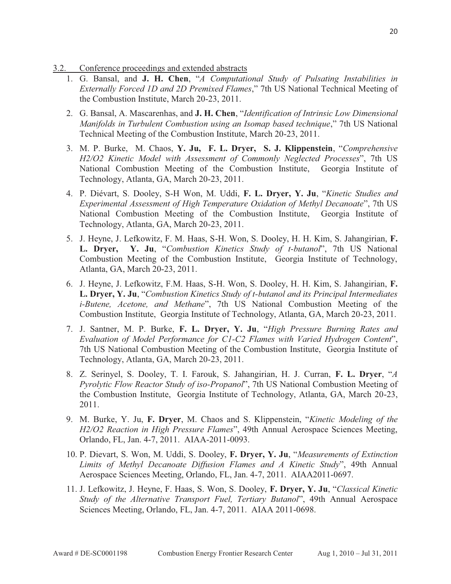- 3.2. Conference proceedings and extended abstracts
	- 1. G. Bansal, and **J. H. Chen**, "*A Computational Study of Pulsating Instabilities in Externally Forced 1D and 2D Premixed Flames*," 7th US National Technical Meeting of the Combustion Institute, March 20-23, 2011.
	- 2. G. Bansal, A. Mascarenhas, and **J. H. Chen**, "*Identification of Intrinsic Low Dimensional Manifolds in Turbulent Combustion using an Isomap based technique*," 7th US National Technical Meeting of the Combustion Institute, March 20-23, 2011.
	- 3. M. P. Burke, M. Chaos, **Y. Ju, F. L. Dryer, S. J. Klippenstein**, "*Comprehensive H2/O2 Kinetic Model with Assessment of Commonly Neglected Processes*", 7th US National Combustion Meeting of the Combustion Institute, Georgia Institute of Technology, Atlanta, GA, March 20-23, 2011.
	- 4. P. Diévart, S. Dooley, S-H Won, M. Uddi, **F. L. Dryer, Y. Ju**, "*Kinetic Studies and Experimental Assessment of High Temperature Oxidation of Methyl Decanoate*", 7th US National Combustion Meeting of the Combustion Institute, Georgia Institute of Technology, Atlanta, GA, March 20-23, 2011.
	- 5. J. Heyne, J. Lefkowitz, F. M. Haas, S-H. Won, S. Dooley, H. H. Kim, S. Jahangirian, **F. L. Dryer, Y. Ju**, "*Combustion Kinetics Study of t-butanol*", 7th US National Combustion Meeting of the Combustion Institute, Georgia Institute of Technology, Atlanta, GA, March 20-23, 2011.
	- 6. J. Heyne, J. Lefkowitz, F.M. Haas, S-H. Won, S. Dooley, H. H. Kim, S. Jahangirian, **F. L. Dryer, Y. Ju**, "*Combustion Kinetics Study of t-butanol and its Principal Intermediates i-Butene, Acetone, and Methane*", 7th US National Combustion Meeting of the Combustion Institute, Georgia Institute of Technology, Atlanta, GA, March 20-23, 2011.
	- 7. J. Santner, M. P. Burke, **F. L. Dryer, Y. Ju**, "*High Pressure Burning Rates and Evaluation of Model Performance for C1-C2 Flames with Varied Hydrogen Content*", 7th US National Combustion Meeting of the Combustion Institute, Georgia Institute of Technology, Atlanta, GA, March 20-23, 2011.
	- 8. Z. Serinyel, S. Dooley, T. I. Farouk, S. Jahangirian, H. J. Curran, **F. L. Dryer**, "*A Pyrolytic Flow Reactor Study of iso-Propanol*", 7th US National Combustion Meeting of the Combustion Institute, Georgia Institute of Technology, Atlanta, GA, March 20-23, 2011.
	- 9. M. Burke, Y. Ju, **F. Dryer**, M. Chaos and S. Klippenstein, "*Kinetic Modeling of the H2/O2 Reaction in High Pressure Flames*", 49th Annual Aerospace Sciences Meeting, Orlando, FL, Jan. 4-7, 2011. AIAA-2011-0093.
	- 10. P. Dievart, S. Won, M. Uddi, S. Dooley, **F. Dryer, Y. Ju**, "*Measurements of Extinction Limits of Methyl Decanoate Diffusion Flames and A Kinetic Study*", 49th Annual Aerospace Sciences Meeting, Orlando, FL, Jan. 4-7, 2011. AIAA2011-0697.
	- 11. J. Lefkowitz, J. Heyne, F. Haas, S. Won, S. Dooley, **F. Dryer, Y. Ju**, "*Classical Kinetic Study of the Alternative Transport Fuel, Tertiary Butanol*", 49th Annual Aerospace Sciences Meeting, Orlando, FL, Jan. 4-7, 2011. AIAA 2011-0698.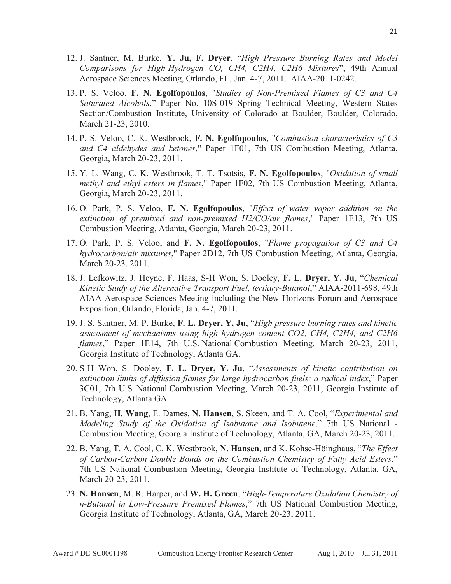- 12. J. Santner, M. Burke, **Y. Ju, F. Dryer**, "*High Pressure Burning Rates and Model Comparisons for High-Hydrogen CO, CH4, C2H4, C2H6 Mixtures*", 49th Annual Aerospace Sciences Meeting, Orlando, FL, Jan. 4-7, 2011. AIAA-2011-0242.
- 13. P. S. Veloo, **F. N. Egolfopoulos**, "*Studies of Non-Premixed Flames of C3 and C4 Saturated Alcohols*," Paper No. 10S-019 Spring Technical Meeting, Western States Section/Combustion Institute, University of Colorado at Boulder, Boulder, Colorado, March 21-23, 2010.
- 14. P. S. Veloo, C. K. Westbrook, **F. N. Egolfopoulos**, "*Combustion characteristics of C3 and C4 aldehydes and ketones*," Paper 1F01, 7th US Combustion Meeting, Atlanta, Georgia, March 20-23, 2011.
- 15. Y. L. Wang, C. K. Westbrook, T. T. Tsotsis, **F. N. Egolfopoulos**, "*Oxidation of small methyl and ethyl esters in flames*," Paper 1F02, 7th US Combustion Meeting, Atlanta, Georgia, March 20-23, 2011.
- 16. O. Park, P. S. Veloo, **F. N. Egolfopoulos**, "*Effect of water vapor addition on the extinction of premixed and non-premixed H2/CO/air flames*," Paper 1E13, 7th US Combustion Meeting, Atlanta, Georgia, March 20-23, 2011.
- 17. O. Park, P. S. Veloo, and **F. N. Egolfopoulos**, "*Flame propagation of C3 and C4 hydrocarbon/air mixtures*," Paper 2D12, 7th US Combustion Meeting, Atlanta, Georgia, March 20-23, 2011.
- 18. J. Lefkowitz, J. Heyne, F. Haas, S-H Won, S. Dooley, **F. L. Dryer, Y. Ju**, "*Chemical Kinetic Study of the Alternative Transport Fuel, tertiary-Butanol*," AIAA-2011-698, 49th AIAA Aerospace Sciences Meeting including the New Horizons Forum and Aerospace Exposition, Orlando, Florida, Jan. 4-7, 2011.
- 19. J. S. Santner, M. P. Burke, **F. L. Dryer, Y. Ju**, "*High pressure burning rates and kinetic assessment of mechanisms using high hydrogen content CO2, CH4, C2H4, and C2H6 flames*," Paper 1E14, 7th U.S. National Combustion Meeting, March 20-23, 2011, Georgia Institute of Technology, Atlanta GA.
- 20. S-H Won, S. Dooley, **F. L. Dryer, Y. Ju**, "*Assessments of kinetic contribution on extinction limits of diffusion flames for large hydrocarbon fuels: a radical index*," Paper 3C01, 7th U.S. National Combustion Meeting, March 20-23, 2011, Georgia Institute of Technology, Atlanta GA.
- 21. B. Yang, **H. Wang**, E. Dames, **N. Hansen**, S. Skeen, and T. A. Cool, "*Experimental and Modeling Study of the Oxidation of Isobutane and Isobutene*," 7th US National - Combustion Meeting, Georgia Institute of Technology, Atlanta, GA, March 20-23, 2011.
- 22. B. Yang, T. A. Cool, C. K. Westbrook, **N. Hansen**, and K. Kohse-Höinghaus, "*The Effect of Carbon*Ǧ*Carbon Double Bonds on the Combustion Chemistry of Fatty Acid Esters*," 7th US National Combustion Meeting, Georgia Institute of Technology, Atlanta, GA, March 20-23, 2011.
- 23. **N. Hansen**, M. R. Harper, and **W. H. Green**, "*High-Temperature Oxidation Chemistry of n-Butanol in Low-Pressure Premixed Flames*," 7th US National Combustion Meeting, Georgia Institute of Technology, Atlanta, GA, March 20-23, 2011.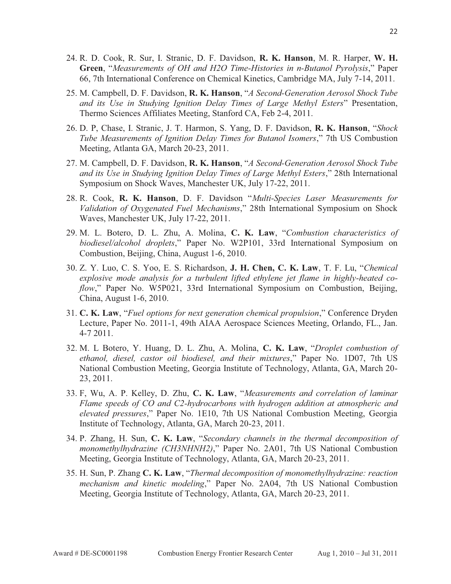- 24. R. D. Cook, R. Sur, I. Stranic, D. F. Davidson, **R. K. Hanson**, M. R. Harper, **W. H. Green**, "*Measurements of OH and H2O Time-Histories in n-Butanol Pyrolysis*," Paper 66, 7th International Conference on Chemical Kinetics, Cambridge MA, July 7-14, 2011.
- 25. M. Campbell, D. F. Davidson, **R. K. Hanson**, "*A Second-Generation Aerosol Shock Tube and its Use in Studying Ignition Delay Times of Large Methyl Esters*" Presentation, Thermo Sciences Affiliates Meeting, Stanford CA, Feb 2-4, 2011.
- 26. D. P, Chase, I. Stranic, J. T. Harmon, S. Yang, D. F. Davidson, **R. K. Hanson**, "*Shock Tube Measurements of Ignition Delay Times for Butanol Isomers*," 7th US Combustion Meeting, Atlanta GA, March 20-23, 2011.
- 27. M. Campbell, D. F. Davidson, **R. K. Hanson**, "*A Second-Generation Aerosol Shock Tube and its Use in Studying Ignition Delay Times of Large Methyl Esters*," 28th International Symposium on Shock Waves, Manchester UK, July 17-22, 2011.
- 28. R. Cook, **R. K. Hanson**, D. F. Davidson "*Multi-Species Laser Measurements for Validation of Oxygenated Fuel Mechanisms*," 28th International Symposium on Shock Waves, Manchester UK, July 17-22, 2011.
- 29. M. L. Botero, D. L. Zhu, A. Molina, **C. K. Law**, "*Combustion characteristics of biodiesel/alcohol droplets*," Paper No. W2P101, 33rd International Symposium on Combustion, Beijing, China, August 1-6, 2010.
- 30. Z. Y. Luo, C. S. Yoo, E. S. Richardson, **J. H. Chen, C. K. Law**, T. F. Lu, "*Chemical explosive mode analysis for a turbulent lifted ethylene jet flame in highly-heated coflow*," Paper No. W5P021, 33rd International Symposium on Combustion, Beijing, China, August 1-6, 2010.
- 31. **C. K. Law**, "*Fuel options for next generation chemical propulsion*," Conference Dryden Lecture, Paper No. 2011-1, 49th AIAA Aerospace Sciences Meeting, Orlando, FL., Jan. 4-7 2011.
- 32. M. L Botero, Y. Huang, D. L. Zhu, A. Molina, **C. K. Law**, "*Droplet combustion of ethanol, diesel, castor oil biodiesel, and their mixtures*," Paper No. 1D07, 7th US National Combustion Meeting, Georgia Institute of Technology, Atlanta, GA, March 20- 23, 2011.
- 33. F, Wu, A. P. Kelley, D. Zhu, **C. K. Law**, "*Measurements and correlation of laminar Flame speeds of CO and C2-hydrocarbons with hydrogen addition at atmospheric and elevated pressures*," Paper No. 1E10, 7th US National Combustion Meeting, Georgia Institute of Technology, Atlanta, GA, March 20-23, 2011.
- 34. P. Zhang, H. Sun, **C. K. Law**, "*Secondary channels in the thermal decomposition of monomethylhydrazine (CH3NHNH2)*," Paper No. 2A01, 7th US National Combustion Meeting, Georgia Institute of Technology, Atlanta, GA, March 20-23, 2011.
- 35. H. Sun, P. Zhang **C. K. Law**, "*Thermal decomposition of monomethylhydrazine: reaction mechanism and kinetic modeling*," Paper No. 2A04, 7th US National Combustion Meeting, Georgia Institute of Technology, Atlanta, GA, March 20-23, 2011.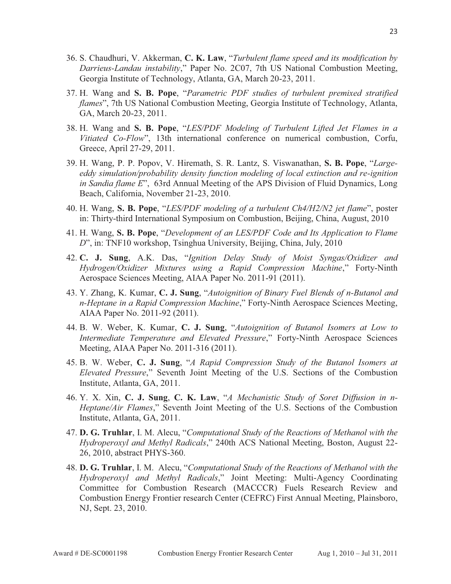- 36. S. Chaudhuri, V. Akkerman, **C. K. Law**, "*Turbulent flame speed and its modification by Darrieus-Landau instability*," Paper No. 2C07, 7th US National Combustion Meeting, Georgia Institute of Technology, Atlanta, GA, March 20-23, 2011.
- 37. H. Wang and **S. B. Pope**, "*Parametric PDF studies of turbulent premixed stratified flames*", 7th US National Combustion Meeting, Georgia Institute of Technology, Atlanta, GA, March 20-23, 2011.
- 38. H. Wang and **S. B. Pope**, "*LES/PDF Modeling of Turbulent Lifted Jet Flames in a Vitiated Co-Flow*", 13th international conference on numerical combustion, Corfu, Greece, April 27-29, 2011.
- 39. H. Wang, P. P. Popov, V. Hiremath, S. R. Lantz, S. Viswanathan, **S. B. Pope**, "*Largeeddy simulation/probability density function modeling of local extinction and re-ignition in Sandia flame E*", 63rd Annual Meeting of the APS Division of Fluid Dynamics, Long Beach, California, November 21-23, 2010.
- 40. H. Wang, **S. B. Pope**, "*LES/PDF modeling of a turbulent Ch4/H2/N2 jet flame*", poster in: Thirty-third International Symposium on Combustion, Beijing, China, August, 2010
- 41. H. Wang, **S. B. Pope**, "*Development of an LES/PDF Code and Its Application to Flame D*", in: TNF10 workshop, Tsinghua University, Beijing, China, July, 2010
- 42. **C. J. Sung**, A.K. Das, "*Ignition Delay Study of Moist Syngas/Oxidizer and Hydrogen/Oxidizer Mixtures using a Rapid Compression Machine*," Forty-Ninth Aerospace Sciences Meeting, AIAA Paper No. 2011-91 (2011).
- 43. Y. Zhang, K. Kumar, **C. J. Sung**, "*Autoignition of Binary Fuel Blends of n-Butanol and n-Heptane in a Rapid Compression Machine*," Forty-Ninth Aerospace Sciences Meeting, AIAA Paper No. 2011-92 (2011).
- 44. B. W. Weber, K. Kumar, **C. J. Sung**, "*Autoignition of Butanol Isomers at Low to Intermediate Temperature and Elevated Pressure*," Forty-Ninth Aerospace Sciences Meeting, AIAA Paper No. 2011-316 (2011).
- 45. B. W. Weber, **C. J. Sung**, "*A Rapid Compression Study of the Butanol Isomers at Elevated Pressure*," Seventh Joint Meeting of the U.S. Sections of the Combustion Institute, Atlanta, GA, 2011.
- 46. Y. X. Xin, **C. J. Sung**, **C. K. Law**, "*A Mechanistic Study of Soret Diffusion in n-Heptane/Air Flames*," Seventh Joint Meeting of the U.S. Sections of the Combustion Institute, Atlanta, GA, 2011.
- 47. **D. G. Truhlar**, I. M. Alecu, "*Computational Study of the Reactions of Methanol with the Hydroperoxyl and Methyl Radicals*," 240th ACS National Meeting, Boston, August 22- 26, 2010, abstract PHYS-360.
- 48. **D. G. Truhlar**, I. M. Alecu, "*Computational Study of the Reactions of Methanol with the Hydroperoxyl and Methyl Radicals*," Joint Meeting: Multi-Agency Coordinating Committee for Combustion Research (MACCCR) Fuels Research Review and Combustion Energy Frontier research Center (CEFRC) First Annual Meeting, Plainsboro, NJ, Sept. 23, 2010.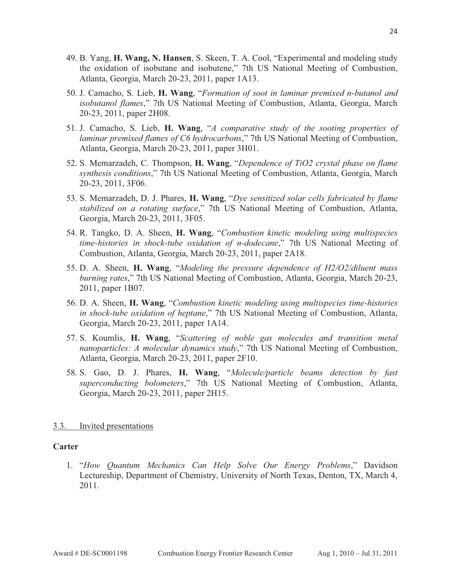- 49. B. Yang, **H. Wang, N. Hansen**, S. Skeen, T. A. Cool, "Experimental and modeling study the oxidation of isobutane and isobutene," 7th US National Meeting of Combustion, Atlanta, Georgia, March 20-23, 2011, paper 1A13.
- 50. J. Camacho, S. Lieb, **H. Wang**, "*Formation of soot in laminar premixed n-butanol and isobutanol flames*," 7th US National Meeting of Combustion, Atlanta, Georgia, March 20-23, 2011, paper 2H08.
- 51. J. Camacho, S. Lieb, **H. Wang**, "*A comparative study of the sooting properties of laminar premixed flames of C6 hydrocarbons*," 7th US National Meeting of Combustion, Atlanta, Georgia, March 20-23, 2011, paper 3H01.
- 52. S. Memarzadeh, C. Thompson, **H. Wang**, "*Dependence of TiO2 crystal phase on flame synthesis conditions*," 7th US National Meeting of Combustion, Atlanta, Georgia, March 20-23, 2011, 3F06.
- 53. S. Memarzadeh, D. J. Phares, **H. Wang**, "*Dye sensitized solar cells fabricated by flame stabilized on a rotating surface*," 7th US National Meeting of Combustion, Atlanta, Georgia, March 20-23, 2011, 3F05.
- 54. R. Tangko, D. A. Sheen, **H. Wang**, "*Combustion kinetic modeling using multispecies time-histories in shock-tube oxidation of n-dodecane*," 7th US National Meeting of Combustion, Atlanta, Georgia, March 20-23, 2011, paper 2A18.
- 55. D. A. Sheen, **H. Wang**, "*Modeling the pressure dependence of H2/O2/diluent mass burning rates*," 7th US National Meeting of Combustion, Atlanta, Georgia, March 20-23, 2011, paper 1B07.
- 56. D. A. Sheen, **H. Wang**, "*Combustion kinetic modeling using multispecies time-histories in shock-tube oxidation of heptane*," 7th US National Meeting of Combustion, Atlanta, Georgia, March 20-23, 2011, paper 1A14.
- 57. S. Koumlis, **H. Wang**, "*Scattering of noble gas molecules and transition metal nanoparticles: A molecular dynamics study*," 7th US National Meeting of Combustion, Atlanta, Georgia, March 20-23, 2011, paper 2F10.
- 58. S. Gao, D. J. Phares, **H. Wang**, "*Molecule/particle beams detection by fast superconducting bolometers*," 7th US National Meeting of Combustion, Atlanta, Georgia, March 20-23, 2011, paper 2H15.

#### 3.3. Invited presentations

#### **Carter**

1. "*How Quantum Mechanics Can Help Solve Our Energy Problems*," Davidson Lectureship, Department of Chemistry, University of North Texas, Denton, TX, March 4, 2011.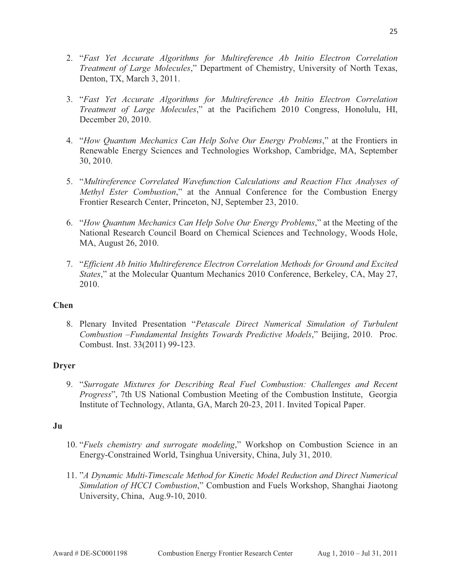- 3. "*Fast Yet Accurate Algorithms for Multireference Ab Initio Electron Correlation Treatment of Large Molecules*," at the Pacifichem 2010 Congress, Honolulu, HI, December 20, 2010.
- 4. "*How Quantum Mechanics Can Help Solve Our Energy Problems*," at the Frontiers in Renewable Energy Sciences and Technologies Workshop, Cambridge, MA, September 30, 2010.
- 5. "*Multireference Correlated Wavefunction Calculations and Reaction Flux Analyses of Methyl Ester Combustion*," at the Annual Conference for the Combustion Energy Frontier Research Center, Princeton, NJ, September 23, 2010.
- 6. "*How Quantum Mechanics Can Help Solve Our Energy Problems*," at the Meeting of the National Research Council Board on Chemical Sciences and Technology, Woods Hole, MA, August 26, 2010.
- 7. "*Efficient Ab Initio Multireference Electron Correlation Methods for Ground and Excited States*," at the Molecular Quantum Mechanics 2010 Conference, Berkeley, CA, May 27, 2010.

## **Chen**

8. Plenary Invited Presentation "*Petascale Direct Numerical Simulation of Turbulent Combustion –Fundamental Insights Towards Predictive Models*," Beijing, 2010. Proc. Combust. Inst. 33(2011) 99-123.

## **Dryer**

9. "*Surrogate Mixtures for Describing Real Fuel Combustion: Challenges and Recent Progress*", 7th US National Combustion Meeting of the Combustion Institute, Georgia Institute of Technology, Atlanta, GA, March 20-23, 2011. Invited Topical Paper.

#### **Ju**

- 10. "*Fuels chemistry and surrogate modeling*," Workshop on Combustion Science in an Energy-Constrained World, Tsinghua University, China, July 31, 2010.
- 11. "*A Dynamic Multi-Timescale Method for Kinetic Model Reduction and Direct Numerical Simulation of HCCI Combustion*," Combustion and Fuels Workshop, Shanghai Jiaotong University, China, Aug.9-10, 2010.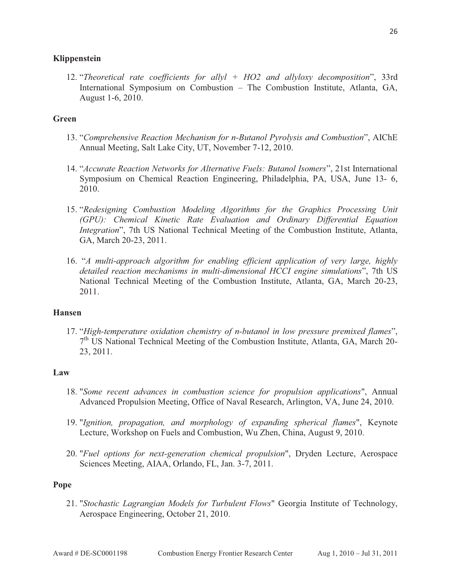#### **Klippenstein**

12. "*Theoretical rate coefficients for allyl + HO2 and allyloxy decomposition*", 33rd International Symposium on Combustion – The Combustion Institute, Atlanta, GA, August 1-6, 2010.

#### **Green**

- 13. "*Comprehensive Reaction Mechanism for n-Butanol Pyrolysis and Combustion*", AIChE Annual Meeting, Salt Lake City, UT, November 7-12, 2010.
- 14. "*Accurate Reaction Networks for Alternative Fuels: Butanol Isomers*", 21st International Symposium on Chemical Reaction Engineering, Philadelphia, PA, USA, June 13- 6, 2010.
- 15. "*Redesigning Combustion Modeling Algorithms for the Graphics Processing Unit (GPU): Chemical Kinetic Rate Evaluation and Ordinary Differential Equation Integration*", 7th US National Technical Meeting of the Combustion Institute, Atlanta, GA, March 20-23, 2011.
- 16. "*A multi-approach algorithm for enabling efficient application of very large, highly detailed reaction mechanisms in multi-dimensional HCCI engine simulations*", 7th US National Technical Meeting of the Combustion Institute, Atlanta, GA, March 20-23, 2011.

#### **Hansen**

17. "*High-temperature oxidation chemistry of n-butanol in low pressure premixed flames*",  $7<sup>th</sup>$  US National Technical Meeting of the Combustion Institute, Atlanta, GA, March 20-23, 2011.

#### **Law**

- 18. "*Some recent advances in combustion science for propulsion applications*", Annual Advanced Propulsion Meeting, Office of Naval Research, Arlington, VA, June 24, 2010.
- 19. "*Ignition, propagation, and morphology of expanding spherical flames*", Keynote Lecture, Workshop on Fuels and Combustion, Wu Zhen, China, August 9, 2010.
- 20. "*Fuel options for next-generation chemical propulsion*", Dryden Lecture, Aerospace Sciences Meeting, AIAA, Orlando, FL, Jan. 3-7, 2011.

#### **Pope**

21. "*Stochastic Lagrangian Models for Turbulent Flows*" Georgia Institute of Technology, Aerospace Engineering, October 21, 2010.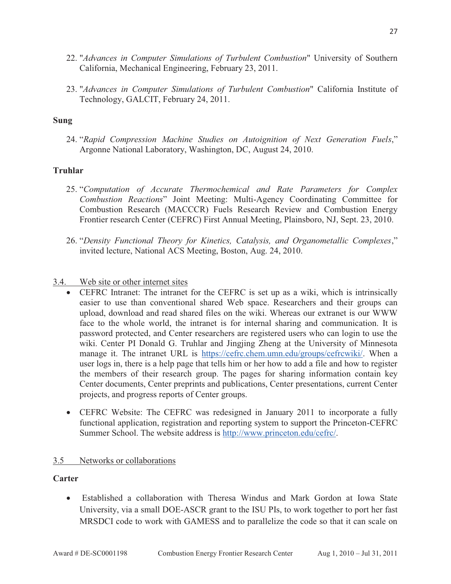- 22. "*Advances in Computer Simulations of Turbulent Combustion*" University of Southern California, Mechanical Engineering, February 23, 2011.
- 23. "*Advances in Computer Simulations of Turbulent Combustion*" California Institute of Technology, GALCIT, February 24, 2011.

#### **Sung**

24. "*Rapid Compression Machine Studies on Autoignition of Next Generation Fuels*," Argonne National Laboratory, Washington, DC, August 24, 2010.

### **Truhlar**

- 25. "*Computation of Accurate Thermochemical and Rate Parameters for Complex Combustion Reactions*" Joint Meeting: Multi-Agency Coordinating Committee for Combustion Research (MACCCR) Fuels Research Review and Combustion Energy Frontier research Center (CEFRC) First Annual Meeting, Plainsboro, NJ, Sept. 23, 2010.
- 26. "*Density Functional Theory for Kinetics, Catalysis, and Organometallic Complexes*," invited lecture, National ACS Meeting, Boston, Aug. 24, 2010.
- 3.4. Web site or other internet sites
	- - CEFRC Intranet: The intranet for the CEFRC is set up as a wiki, which is intrinsically easier to use than conventional shared Web space. Researchers and their groups can upload, download and read shared files on the wiki. Whereas our extranet is our WWW face to the whole world, the intranet is for internal sharing and communication. It is password protected, and Center researchers are registered users who can login to use the wiki. Center PI Donald G. Truhlar and Jingjing Zheng at the University of Minnesota manage it. The intranet URL is https://cefrc.chem.umn.edu/groups/cefrcwiki/. When a user logs in, there is a help page that tells him or her how to add a file and how to register the members of their research group. The pages for sharing information contain key Center documents, Center preprints and publications, Center presentations, current Center projects, and progress reports of Center groups.
	- CEFRC Website: The CEFRC was redesigned in January 2011 to incorporate a fully functional application, registration and reporting system to support the Princeton-CEFRC Summer School. The website address is http://www.princeton.edu/cefrc/.

#### 3.5 Networks or collaborations

#### **Carter**

 $\bullet$  Established a collaboration with Theresa Windus and Mark Gordon at Iowa State University, via a small DOE-ASCR grant to the ISU PIs, to work together to port her fast MRSDCI code to work with GAMESS and to parallelize the code so that it can scale on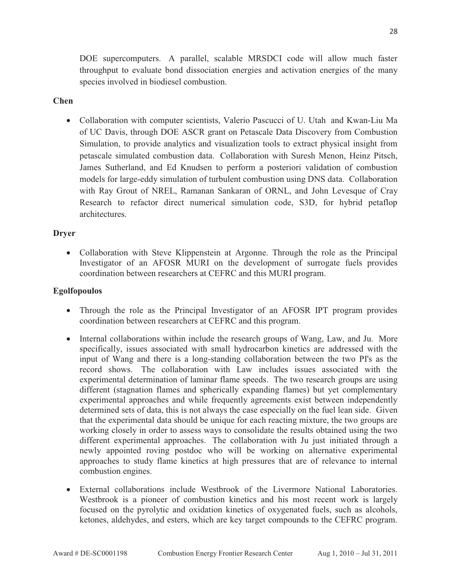DOE supercomputers. A parallel, scalable MRSDCI code will allow much faster throughput to evaluate bond dissociation energies and activation energies of the many species involved in biodiesel combustion.

#### **Chen**

- Collaboration with computer scientists, Valerio Pascucci of U. Utah and Kwan-Liu Ma of UC Davis, through DOE ASCR grant on Petascale Data Discovery from Combustion Simulation, to provide analytics and visualization tools to extract physical insight from petascale simulated combustion data. Collaboration with Suresh Menon, Heinz Pitsch, James Sutherland, and Ed Knudsen to perform a posteriori validation of combustion models for large-eddy simulation of turbulent combustion using DNS data. Collaboration with Ray Grout of NREL, Ramanan Sankaran of ORNL, and John Levesque of Cray Research to refactor direct numerical simulation code, S3D, for hybrid petaflop architectures.

### **Dryer**

- Collaboration with Steve Klippenstein at Argonne. Through the role as the Principal Investigator of an AFOSR MURI on the development of surrogate fuels provides coordination between researchers at CEFRC and this MURI program.

#### **Egolfopoulos**

- Through the role as the Principal Investigator of an AFOSR IPT program provides coordination between researchers at CEFRC and this program.
- Internal collaborations within include the research groups of Wang, Law, and Ju. More specifically, issues associated with small hydrocarbon kinetics are addressed with the input of Wang and there is a long-standing collaboration between the two PI's as the record shows. The collaboration with Law includes issues associated with the experimental determination of laminar flame speeds. The two research groups are using different (stagnation flames and spherically expanding flames) but yet complementary experimental approaches and while frequently agreements exist between independently determined sets of data, this is not always the case especially on the fuel lean side. Given that the experimental data should be unique for each reacting mixture, the two groups are working closely in order to assess ways to consolidate the results obtained using the two different experimental approaches. The collaboration with Ju just initiated through a newly appointed roving postdoc who will be working on alternative experimental approaches to study flame kinetics at high pressures that are of relevance to internal combustion engines.
- External collaborations include Westbrook of the Livermore National Laboratories. Westbrook is a pioneer of combustion kinetics and his most recent work is largely focused on the pyrolytic and oxidation kinetics of oxygenated fuels, such as alcohols, ketones, aldehydes, and esters, which are key target compounds to the CEFRC program.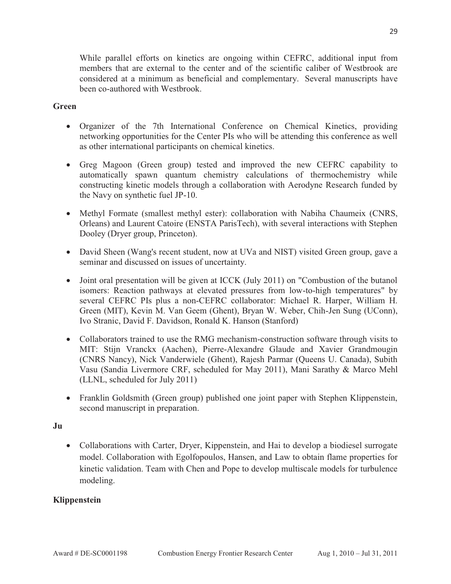While parallel efforts on kinetics are ongoing within CEFRC, additional input from members that are external to the center and of the scientific caliber of Westbrook are considered at a minimum as beneficial and complementary. Several manuscripts have been co-authored with Westbrook.

#### **Green**

- Organizer of the 7th International Conference on Chemical Kinetics, providing networking opportunities for the Center PIs who will be attending this conference as well as other international participants on chemical kinetics.
- Greg Magoon (Green group) tested and improved the new CEFRC capability to automatically spawn quantum chemistry calculations of thermochemistry while constructing kinetic models through a collaboration with Aerodyne Research funded by the Navy on synthetic fuel JP-10.
- Methyl Formate (smallest methyl ester): collaboration with Nabiha Chaumeix (CNRS, Orleans) and Laurent Catoire (ENSTA ParisTech), with several interactions with Stephen Dooley (Dryer group, Princeton).
- David Sheen (Wang's recent student, now at UVa and NIST) visited Green group, gave a seminar and discussed on issues of uncertainty.
- Joint oral presentation will be given at ICCK (July 2011) on "Combustion of the butanol isomers: Reaction pathways at elevated pressures from low-to-high temperatures" by several CEFRC PIs plus a non-CEFRC collaborator: Michael R. Harper, William H. Green (MIT), Kevin M. Van Geem (Ghent), Bryan W. Weber, Chih-Jen Sung (UConn), Ivo Stranic, David F. Davidson, Ronald K. Hanson (Stanford)
- Collaborators trained to use the RMG mechanism-construction software through visits to MIT: Stijn Vranckx (Aachen), Pierre-Alexandre Glaude and Xavier Grandmougin (CNRS Nancy), Nick Vanderwiele (Ghent), Rajesh Parmar (Queens U. Canada), Subith Vasu (Sandia Livermore CRF, scheduled for May 2011), Mani Sarathy & Marco Mehl (LLNL, scheduled for July 2011)
- Franklin Goldsmith (Green group) published one joint paper with Stephen Klippenstein, second manuscript in preparation.

#### **Ju**

- Collaborations with Carter, Dryer, Kippenstein, and Hai to develop a biodiesel surrogate model. Collaboration with Egolfopoulos, Hansen, and Law to obtain flame properties for kinetic validation. Team with Chen and Pope to develop multiscale models for turbulence modeling.

#### **Klippenstein**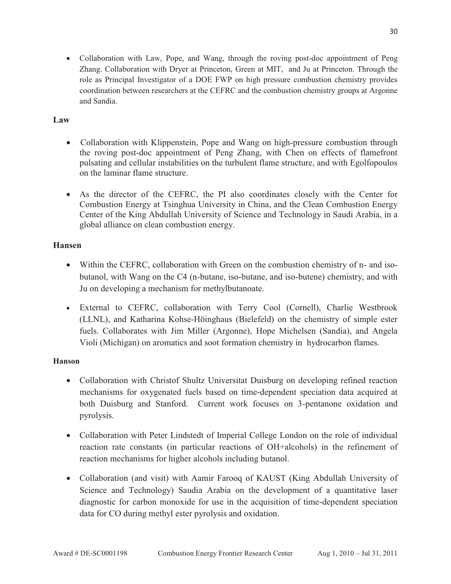- Collaboration with Law, Pope, and Wang, through the roving post-doc appointment of Peng Zhang. Collaboration with Dryer at Princeton, Green at MIT, and Ju at Princeton. Through the role as Principal Investigator of a DOE FWP on high pressure combustion chemistry provides coordination between researchers at the CEFRC and the combustion chemistry groups at Argonne and Sandia.

## **Law**

- Collaboration with Klippenstein, Pope and Wang on high-pressure combustion through the roving post-doc appointment of Peng Zhang, with Chen on effects of flamefront pulsating and cellular instabilities on the turbulent flame structure, and with Egolfopoulos on the laminar flame structure.
- As the director of the CEFRC, the PI also coordinates closely with the Center for Combustion Energy at Tsinghua University in China, and the Clean Combustion Energy Center of the King Abdullah University of Science and Technology in Saudi Arabia, in a global alliance on clean combustion energy.

### **Hansen**

- Within the CEFRC, collaboration with Green on the combustion chemistry of n- and isobutanol, with Wang on the C4 (n-butane, iso-butane, and iso-butene) chemistry, and with Ju on developing a mechanism for methylbutanoate.
- External to CEFRC, collaboration with Terry Cool (Cornell), Charlie Westbrook (LLNL), and Katharina Kohse-Höinghaus (Bielefeld) on the chemistry of simple ester fuels. Collaborates with Jim Miller (Argonne), Hope Michelsen (Sandia), and Angela Violi (Michigan) on aromatics and soot formation chemistry in hydrocarbon flames.

#### **Hanson**

- Collaboration with Christof Shultz Universitat Duisburg on developing refined reaction mechanisms for oxygenated fuels based on time-dependent speciation data acquired at both Duisburg and Stanford. Current work focuses on 3-pentanone oxidation and pyrolysis.
- Collaboration with Peter Lindstedt of Imperial College London on the role of individual reaction rate constants (in particular reactions of OH+alcohols) in the refinement of reaction mechanisms for higher alcohols including butanol.
- Collaboration (and visit) with Aamir Farooq of KAUST (King Abdullah University of Science and Technology) Saudia Arabia on the development of a quantitative laser diagnostic for carbon monoxide for use in the acquisition of time-dependent speciation data for CO during methyl ester pyrolysis and oxidation.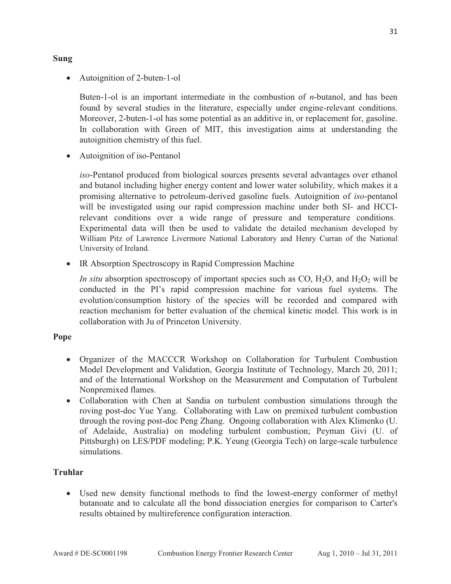**Sung** 

• Autoignition of 2-buten-1-ol

Buten-1-ol is an important intermediate in the combustion of *n*-butanol, and has been found by several studies in the literature, especially under engine-relevant conditions. Moreover, 2-buten-1-ol has some potential as an additive in, or replacement for, gasoline. In collaboration with Green of MIT, this investigation aims at understanding the autoignition chemistry of this fuel.

- Autoignition of iso-Pentanol

*iso*-Pentanol produced from biological sources presents several advantages over ethanol and butanol including higher energy content and lower water solubility, which makes it a promising alternative to petroleum-derived gasoline fuels. Autoignition of *iso*-pentanol will be investigated using our rapid compression machine under both SI- and HCCIrelevant conditions over a wide range of pressure and temperature conditions. Experimental data will then be used to validate the detailed mechanism developed by William Pitz of Lawrence Livermore National Laboratory and Henry Curran of the National University of Ireland.

- IR Absorption Spectroscopy in Rapid Compression Machine

*In situ* absorption spectroscopy of important species such as CO,  $H_2O$ , and  $H_2O_2$  will be conducted in the PI's rapid compression machine for various fuel systems. The evolution/consumption history of the species will be recorded and compared with reaction mechanism for better evaluation of the chemical kinetic model. This work is in collaboration with Ju of Princeton University.

#### **Pope**

- Organizer of the MACCCR Workshop on Collaboration for Turbulent Combustion Model Development and Validation, Georgia Institute of Technology, March 20, 2011; and of the International Workshop on the Measurement and Computation of Turbulent Nonpremixed flames.
- Collaboration with Chen at Sandia on turbulent combustion simulations through the roving post-doc Yue Yang. Collaborating with Law on premixed turbulent combustion through the roving post-doc Peng Zhang. Ongoing collaboration with Alex Klimenko (U. of Adelaide, Australia) on modeling turbulent combustion; Peyman Givi (U. of Pittsburgh) on LES/PDF modeling; P.K. Yeung (Georgia Tech) on large-scale turbulence simulations.

## **Truhlar**

- Used new density functional methods to find the lowest-energy conformer of methyl butanoate and to calculate all the bond dissociation energies for comparison to Carter's results obtained by multireference configuration interaction.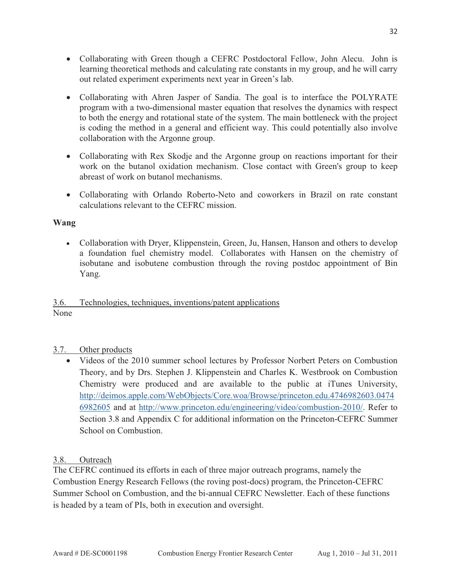- Collaborating with Green though a CEFRC Postdoctoral Fellow, John Alecu. John is learning theoretical methods and calculating rate constants in my group, and he will carry out related experiment experiments next year in Green's lab.
- Collaborating with Ahren Jasper of Sandia. The goal is to interface the POLYRATE program with a two-dimensional master equation that resolves the dynamics with respect to both the energy and rotational state of the system. The main bottleneck with the project is coding the method in a general and efficient way. This could potentially also involve collaboration with the Argonne group.
- Collaborating with Rex Skodje and the Argonne group on reactions important for their work on the butanol oxidation mechanism. Close contact with Green's group to keep abreast of work on butanol mechanisms.
- Collaborating with Orlando Roberto-Neto and coworkers in Brazil on rate constant calculations relevant to the CEFRC mission.

### **Wang**

- Collaboration with Dryer, Klippenstein, Green, Ju, Hansen, Hanson and others to develop a foundation fuel chemistry model. Collaborates with Hansen on the chemistry of isobutane and isobutene combustion through the roving postdoc appointment of Bin Yang.

## 3.6. Technologies, techniques, inventions/patent applications None

## 3.7. Other products

- Videos of the 2010 summer school lectures by Professor Norbert Peters on Combustion Theory, and by Drs. Stephen J. Klippenstein and Charles K. Westbrook on Combustion Chemistry were produced and are available to the public at iTunes University, http://deimos.apple.com/WebObjects/Core.woa/Browse/princeton.edu.4746982603.0474 6982605 and at http://www.princeton.edu/engineering/video/combustion-2010/. Refer to Section 3.8 and Appendix C for additional information on the Princeton-CEFRC Summer School on Combustion.

## 3.8. Outreach

The CEFRC continued its efforts in each of three major outreach programs, namely the Combustion Energy Research Fellows (the roving post-docs) program, the Princeton-CEFRC Summer School on Combustion, and the bi-annual CEFRC Newsletter. Each of these functions is headed by a team of PIs, both in execution and oversight.